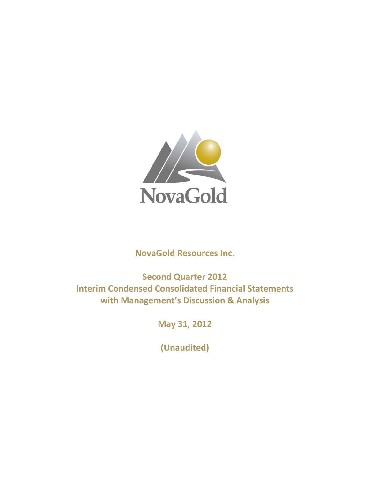

# **NovaGold Resources Inc.**

**Second Quarter 2012 Interim Condensed Consolidated Financial Statements with Management's Discussion & Analysis** 

**May 31, 2012** 

**(Unaudited)**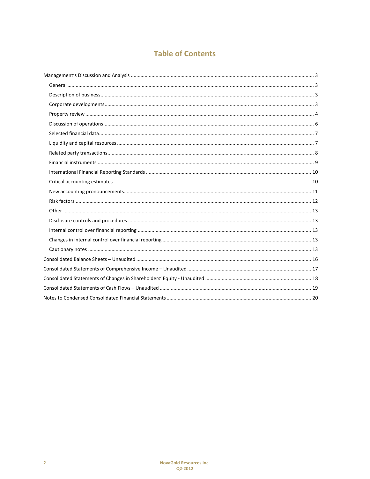# **Table of Contents**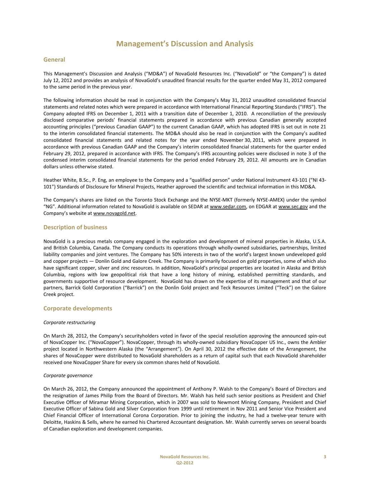#### **General**

This Management's Discussion and Analysis ("MD&A") of NovaGold Resources Inc. ("NovaGold" or "the Company") is dated July 12, 2012 and provides an analysis of NovaGold's unaudited financial results for the quarter ended May 31, 2012 compared to the same period in the previous year.

The following information should be read in conjunction with the Company's May 31, 2012 unaudited consolidated financial statements and related notes which were prepared in accordance with International Financial Reporting Standards ("IFRS"). The Company adopted IFRS on December 1, 2011 with a transition date of December 1, 2010. A reconciliation of the previously disclosed comparative periods' financial statements prepared in accordance with previous Canadian generally accepted accounting principles ("previous Canadian GAAP") to the current Canadian GAAP, which has adopted IFRS is set out in note 21 to the interim consolidated financial statements. The MD&A should also be read in conjunction with the Company's audited consolidated financial statements and related notes for the year ended November 30, 2011, which were prepared in accordance with previous Canadian GAAP and the Company's interim consolidated financial statements for the quarter ended February 29, 2012, prepared in accordance with IFRS. The Company's IFRS accounting policies were disclosed in note 3 of the condensed interim consolidated financial statements for the period ended February 29, 2012. All amounts are in Canadian dollars unless otherwise stated.

Heather White, B.Sc., P. Eng, an employee to the Company and a "qualified person" under National Instrument 43-101 ("NI 43- 101") Standards of Disclosure for Mineral Projects, Heather approved the scientific and technical information in this MD&A.

The Company's shares are listed on the Toronto Stock Exchange and the NYSE-MKT (formerly NYSE-AMEX) under the symbol "NG". Additional information related to NovaGold is available on SEDAR at www.sedar.com, on EDGAR at www.sec.gov and the Company's website at www.novagold.net.

#### **Description of business**

NovaGold is a precious metals company engaged in the exploration and development of mineral properties in Alaska, U.S.A. and British Columbia, Canada. The Company conducts its operations through wholly-owned subsidiaries, partnerships, limited liability companies and joint ventures. The Company has 50% interests in two of the world's largest known undeveloped gold and copper projects — Donlin Gold and Galore Creek. The Company is primarily focused on gold properties, some of which also have significant copper, silver and zinc resources. In addition, NovaGold's principal properties are located in Alaska and British Columbia, regions with low geopolitical risk that have a long history of mining, established permitting standards, and governments supportive of resource development. NovaGold has drawn on the expertise of its management and that of our partners, Barrick Gold Corporation ("Barrick") on the Donlin Gold project and Teck Resources Limited ("Teck") on the Galore Creek project.

# **Corporate developments**

#### *Corporate restructuring*

On March 28, 2012, the Company's securityholders voted in favor of the special resolution approving the announced spin-out of NovaCopper Inc. ("NovaCopper"). NovaCopper, through its wholly-owned subsidiary NovaCopper US Inc., owns the Ambler project located in Northwestern Alaska (the "Arrangement"). On April 30, 2012 the effective date of the Arrangement, the shares of NovaCopper were distributed to NovaGold shareholders as a return of capital such that each NovaGold shareholder received one NovaCopper Share for every six common shares held of NovaGold.

#### *Corporate governance*

On March 26, 2012, the Company announced the appointment of Anthony P. Walsh to the Company's Board of Directors and the resignation of James Philip from the Board of Directors. Mr. Walsh has held such senior positions as President and Chief Executive Officer of Miramar Mining Corporation, which in 2007 was sold to Newmont Mining Company, President and Chief Executive Officer of Sabina Gold and Silver Corporation from 1999 until retirement in Nov 2011 and Senior Vice President and Chief Financial Officer of International Corona Corporation. Prior to joining the industry, he had a twelve-year tenure with Deloitte, Haskins & Sells, where he earned his Chartered Accountant designation. Mr. Walsh currently serves on several boards of Canadian exploration and development companies.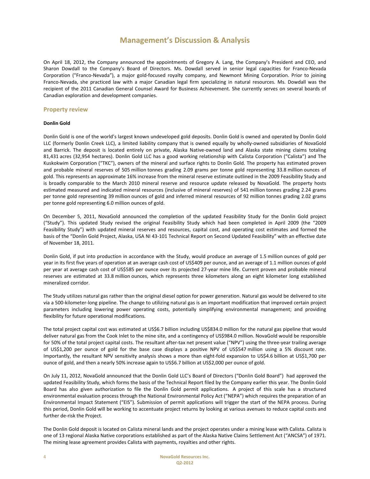On April 18, 2012, the Company announced the appointments of Gregory A. Lang, the Company's President and CEO, and Sharon Dowdall to the Company's Board of Directors. Ms. Dowdall served in senior legal capacities for Franco-Nevada Corporation ("Franco-Nevada"), a major gold-focused royalty company, and Newmont Mining Corporation. Prior to joining Franco-Nevada, she practiced law with a major Canadian legal firm specializing in natural resources. Ms. Dowdall was the recipient of the 2011 Canadian General Counsel Award for Business Achievement. She currently serves on several boards of Canadian exploration and development companies.

#### **Property review**

#### **Donlin Gold**

Donlin Gold is one of the world's largest known undeveloped gold deposits. Donlin Gold is owned and operated by Donlin Gold LLC (formerly Donlin Creek LLC), a limited liability company that is owned equally by wholly-owned subsidiaries of NovaGold and Barrick. The deposit is located entirely on private, Alaska Native-owned land and Alaska state mining claims totaling 81,431 acres (32,954 hectares). Donlin Gold LLC has a good working relationship with Calista Corporation ("Calista") and The Kuskokwim Corporation ("TKC"), owners of the mineral and surface rights to Donlin Gold. The property has estimated proven and probable mineral reserves of 505 million tonnes grading 2.09 grams per tonne gold representing 33.8 million ounces of gold. This represents an approximate 16% increase from the mineral reserve estimate outlined in the 2009 Feasibility Study and is broadly comparable to the March 2010 mineral reserve and resource update released by NovaGold. The property hosts estimated measured and indicated mineral resources (inclusive of mineral reserves) of 541 million tonnes grading 2.24 grams per tonne gold representing 39 million ounces of gold and inferred mineral resources of 92 million tonnes grading 2.02 grams per tonne gold representing 6.0 million ounces of gold.

On December 5, 2011, NovaGold announced the completion of the updated Feasibility Study for the Donlin Gold project ("Study"). This updated Study revised the original Feasibility Study which had been completed in April 2009 (the "2009 Feasibility Study") with updated mineral reserves and resources, capital cost, and operating cost estimates and formed the basis of the "Donlin Gold Project, Alaska, USA NI 43-101 Technical Report on Second Updated Feasibility" with an effective date of November 18, 2011.

Donlin Gold, if put into production in accordance with the Study, would produce an average of 1.5 million ounces of gold per year in its first five years of operation at an average cash cost of US\$409 per ounce, and an average of 1.1 million ounces of gold per year at average cash cost of US\$585 per ounce over its projected 27-year mine life. Current proven and probable mineral reserves are estimated at 33.8 million ounces, which represents three kilometers along an eight kilometer long established mineralized corridor.

The Study utilizes natural gas rather than the original diesel option for power generation. Natural gas would be delivered to site via a 500-kilometer-long pipeline. The change to utilizing natural gas is an important modification that improved certain project parameters including lowering power operating costs, potentially simplifying environmental management; and providing flexibility for future operational modifications.

The total project capital cost was estimated at US\$6.7 billion including US\$834.0 million for the natural gas pipeline that would deliver natural gas from the Cook Inlet to the mine site, and a contingency of US\$984.0 million. NovaGold would be responsible for 50% of the total project capital costs. The resultant after-tax net present value ("NPV") using the three-year trailing average of US\$1,200 per ounce of gold for the base case displays a positive NPV of US\$547 million using a 5% discount rate. Importantly, the resultant NPV sensitivity analysis shows a more than eight-fold expansion to US\$4.6 billion at US\$1,700 per ounce of gold, and then a nearly 50% increase again to US\$6.7 billion at US\$2,000 per ounce of gold.

On July 11, 2012, NovaGold announced that the Donlin Gold LLC's Board of Directors ("Donlin Gold Board") had approved the updated Feasibility Study, which forms the basis of the Technical Report filed by the Company earlier this year. The Donlin Gold Board has also given authorization to file the Donlin Gold permit applications. A project of this scale has a structured environmental evaluation process through the National Environmental Policy Act ("NEPA") which requires the preparation of an Environmental Impact Statement ("EIS"). Submission of permit applications will trigger the start of the NEPA process. During this period, Donlin Gold will be working to accentuate project returns by looking at various avenues to reduce capital costs and further de-risk the Project.

The Donlin Gold deposit is located on Calista mineral lands and the project operates under a mining lease with Calista. Calista is one of 13 regional Alaska Native corporations established as part of the Alaska Native Claims Settlement Act ("ANCSA") of 1971. The mining lease agreement provides Calista with payments, royalties and other rights.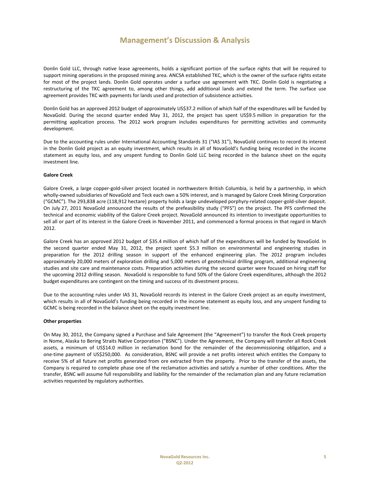Donlin Gold LLC, through native lease agreements, holds a significant portion of the surface rights that will be required to support mining operations in the proposed mining area. ANCSA established TKC, which is the owner of the surface rights estate for most of the project lands. Donlin Gold operates under a surface use agreement with TKC. Donlin Gold is negotiating a restructuring of the TKC agreement to, among other things, add additional lands and extend the term. The surface use agreement provides TKC with payments for lands used and protection of subsistence activities.

Donlin Gold has an approved 2012 budget of approximately US\$37.2 million of which half of the expenditures will be funded by NovaGold. During the second quarter ended May 31, 2012, the project has spent US\$9.5 million in preparation for the permitting application process. The 2012 work program includes expenditures for permitting activities and community development.

Due to the accounting rules under International Accounting Standards 31 ("IAS 31"), NovaGold continues to record its interest in the Donlin Gold project as an equity investment, which results in all of NovaGold's funding being recorded in the income statement as equity loss, and any unspent funding to Donlin Gold LLC being recorded in the balance sheet on the equity investment line.

#### **Galore Creek**

Galore Creek, a large copper-gold-silver project located in northwestern British Columbia, is held by a partnership, in which wholly-owned subsidiaries of NovaGold and Teck each own a 50% interest, and is managed by Galore Creek Mining Corporation ("GCMC"). The 293,838 acre (118,912 hectare) property holds a large undeveloped porphyry-related copper-gold-silver deposit. On July 27, 2011 NovaGold announced the results of the prefeasibility study ("PFS") on the project. The PFS confirmed the technical and economic viability of the Galore Creek project. NovaGold announced its intention to investigate opportunities to sell all or part of its interest in the Galore Creek in November 2011, and commenced a formal process in that regard in March 2012.

Galore Creek has an approved 2012 budget of \$35.4 million of which half of the expenditures will be funded by NovaGold. In the second quarter ended May 31, 2012, the project spent \$5.3 million on environmental and engineering studies in preparation for the 2012 drilling season in support of the enhanced engineering plan. The 2012 program includes approximately 20,000 meters of exploration drilling and 5,000 meters of geotechnical drilling program, additional engineering studies and site care and maintenance costs. Preparation activities during the second quarter were focused on hiring staff for the upcoming 2012 drilling season. NovaGold is responsible to fund 50% of the Galore Creek expenditures, although the 2012 budget expenditures are contingent on the timing and success of its divestment process.

Due to the accounting rules under IAS 31, NovaGold records its interest in the Galore Creek project as an equity investment, which results in all of NovaGold's funding being recorded in the income statement as equity loss, and any unspent funding to GCMC is being recorded in the balance sheet on the equity investment line.

#### **Other properties**

On May 30, 2012, the Company signed a Purchase and Sale Agreement (the "Agreement") to transfer the Rock Creek property in Nome, Alaska to Bering Straits Native Corporation ("BSNC"). Under the Agreement, the Company will transfer all Rock Creek assets, a minimum of US\$14.0 million in reclamation bond for the remainder of the decommissioning obligation, and a one-time payment of US\$250,000. As consideration, BSNC will provide a net profits interest which entitles the Company to receive 5% of all future net profits generated from ore extracted from the property. Prior to the transfer of the assets, the Company is required to complete phase one of the reclamation activities and satisfy a number of other conditions. After the transfer, BSNC will assume full responsibility and liability for the remainder of the reclamation plan and any future reclamation activities requested by regulatory authorities.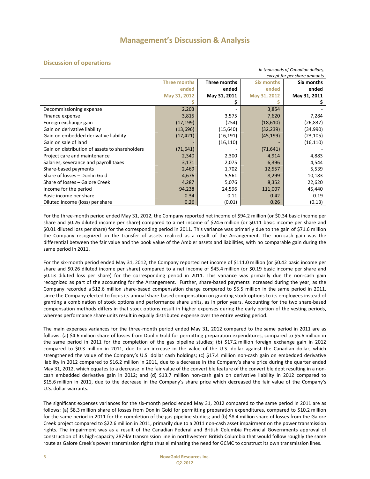*in thousands of Canadian dollars,* 

## **Discussion of operations**

| <i>m thousunus of cundulum donars,</i><br>except for per share amounts |                     |              |                   |              |  |  |
|------------------------------------------------------------------------|---------------------|--------------|-------------------|--------------|--|--|
|                                                                        | <b>Three months</b> | Three months | <b>Six months</b> | Six months   |  |  |
|                                                                        | ended               | ended        | ended             | ended        |  |  |
|                                                                        | May 31, 2012        | May 31, 2011 | May 31, 2012      | May 31, 2011 |  |  |
|                                                                        |                     |              |                   |              |  |  |
| Decommissioning expense                                                | 2,203               |              | 3,854             |              |  |  |
| Finance expense                                                        | 3,815               | 3,575        | 7,620             | 7,284        |  |  |
| Foreign exchange gain                                                  | (17, 199)           | (254)        | (18,610)          | (26,837)     |  |  |
| Gain on derivative liability                                           | (13, 696)           | (15, 640)    | (32, 239)         | (34,990)     |  |  |
| Gain on embedded derivative liability                                  | (17, 421)           | (16, 191)    | (45, 199)         | (23,105)     |  |  |
| Gain on sale of land                                                   |                     | (16, 110)    |                   | (16, 110)    |  |  |
| Gain on distribution of assets to shareholders                         | (71, 641)           |              | (71, 641)         |              |  |  |
| Project care and maintenance                                           | 2,340               | 2,300        | 4,914             | 4,883        |  |  |
| Salaries, severance and payroll taxes                                  | 3,171               | 2,075        | 6,396             | 4,544        |  |  |
| Share-based payments                                                   | 2,469               | 1,702        | 12,557            | 5,539        |  |  |
| Share of losses - Donlin Gold                                          | 4,676               | 5,561        | 8,299             | 10,183       |  |  |
| Share of losses - Galore Creek                                         | 4,287               | 5,076        | 8,352             | 22,620       |  |  |
| Income for the period                                                  | 94,238              | 24,596       | 111,007           | 45,440       |  |  |
| Basic income per share                                                 | 0.34                | 0.11         | 0.42              | 0.19         |  |  |
| Diluted income (loss) per share                                        | 0.26                | (0.01)       | 0.26              | (0.13)       |  |  |

For the three-month period ended May 31, 2012, the Company reported net income of \$94.2 million (or \$0.34 basic income per share and \$0.26 diluted income per share) compared to a net income of \$24.6 million (or \$0.11 basic income per share and \$0.01 diluted loss per share) for the corresponding period in 2011. This variance was primarily due to the gain of \$71.6 million the Company recognized on the transfer of assets realized as a result of the Arrangement. The non-cash gain was the differential between the fair value and the book value of the Ambler assets and liabilities, with no comparable gain during the same period in 2011.

For the six-month period ended May 31, 2012, the Company reported net income of \$111.0 million (or \$0.42 basic income per share and \$0.26 diluted income per share) compared to a net income of \$45.4 million (or \$0.19 basic income per share and \$0.13 diluted loss per share) for the corresponding period in 2011. This variance was primarily due the non-cash gain recognized as part of the accounting for the Arrangement. Further, share-based payments increased during the year, as the Company recorded a \$12.6 million share-based compensation charge compared to \$5.5 million in the same period in 2011, since the Company elected to focus its annual share-based compensation on granting stock options to its employees instead of granting a combination of stock options and performance share units, as in prior years. Accounting for the two share-based compensation methods differs in that stock options result in higher expenses during the early portion of the vesting periods, whereas performance share units result in equally distributed expense over the entire vesting period.

The main expenses variances for the three-month period ended May 31, 2012 compared to the same period in 2011 are as follows: (a) \$4.6 million share of losses from Donlin Gold for permitting preparation expenditures, compared to \$5.6 million in the same period in 2011 for the completion of the gas pipeline studies; (b) \$17.2 million foreign exchange gain in 2012 compared to \$0.3 million in 2011, due to an increase in the value of the U.S. dollar against the Canadian dollar, which strengthened the value of the Company's U.S. dollar cash holdings; (c) \$17.4 million non-cash gain on embedded derivative liability in 2012 compared to \$16.2 million in 2011, due to a decrease in the Company's share price during the quarter ended May 31, 2012, which equates to a decrease in the fair value of the convertible feature of the convertible debt resulting in a noncash embedded derivative gain in 2012; and (d) \$13.7 million non-cash gain on derivative liability in 2012 compared to \$15.6 million in 2011, due to the decrease in the Company's share price which decreased the fair value of the Company's U.S. dollar warrants.

The significant expenses variances for the six-month period ended May 31, 2012 compared to the same period in 2011 are as follows: (a) \$8.3 million share of losses from Donlin Gold for permitting preparation expenditures, compared to \$10.2 million for the same period in 2011 for the completion of the gas pipeline studies; and (b) \$8.4 million share of losses from the Galore Creek project compared to \$22.6 million in 2011, primarily due to a 2011 non-cash asset impairment on the power transmission rights. The impairment was as a result of the Canadian Federal and British Columbia Provincial Governments approval of construction of its high-capacity 287-kV transmission line in northwestern British Columbia that would follow roughly the same route as Galore Creek's power transmission rights thus eliminating the need for GCMC to construct its own transmission lines.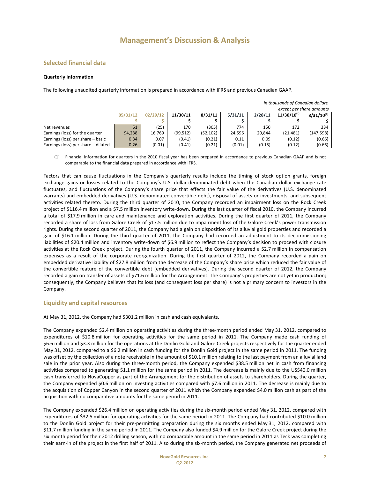## **Selected financial data**

#### **Quarterly information**

The following unaudited quarterly information is prepared in accordance with IFRS and previous Canadian GAAP.

|                                     |          |          |           |           |         |         |                  | except per share amounts |
|-------------------------------------|----------|----------|-----------|-----------|---------|---------|------------------|--------------------------|
|                                     | 05/31/12 | 02/29/12 | 11/30/11  | 8/31/11   | 5/31/11 | 2/28/11 | $11/30/10^{(1)}$ | $8/31/10^{(1)}$          |
|                                     |          |          |           |           |         |         |                  |                          |
| Net revenues                        | 51       | (25)     | 170       | (305)     | 774     | 150     | 172              | 334                      |
| Earnings (loss) for the quarter     | 94,238   | 16.769   | (99, 512) | (52, 102) | 24.596  | 20,844  | (21,481)         | (147,598)                |
| Earnings (loss) per share - basic   | 0.34     | 0.07     | (0.41)    | (0.21)    | 0.11    | 0.09    | (0.12)           | (0.66)                   |
| Earnings (loss) per share - diluted | 0.26     | (0.01)   | (0.41)    | (0.21)    | (0.01)  | (0.15)  | (0.12)           | (0.66)                   |

(1) Financial information for quarters in the 2010 fiscal year has been prepared in accordance to previous Canadian GAAP and is not comparable to the financial data prepared in accordance with IFRS.

Factors that can cause fluctuations in the Company's quarterly results include the timing of stock option grants, foreign exchange gains or losses related to the Company's U.S. dollar-denominated debt when the Canadian dollar exchange rate fluctuates, and fluctuations of the Company's share price that effects the fair value of the derivatives (U.S. denominated warrants) and embedded derivatives (U.S. denominated convertible debt), disposal of assets or investments, and subsequent activities related thereto. During the third quarter of 2010, the Company recorded an impairment loss on the Rock Creek project of \$116.4 million and a \$7.5 million inventory write-down. During the last quarter of fiscal 2010, the Company incurred a total of \$17.9 million in care and maintenance and exploration activities. During the first quarter of 2011, the Company recorded a share of loss from Galore Creek of \$17.5 million due to impairment loss of the Galore Creek's power transmission rights. During the second quarter of 2011, the Company had a gain on disposition of its alluvial gold properties and recorded a gain of \$16.1 million. During the third quarter of 2011, the Company had recorded an adjustment to its decommissioning liabilities of \$20.4 million and inventory write-down of \$6.9 million to reflect the Company's decision to proceed with closure activities at the Rock Creek project. During the fourth quarter of 2011, the Company incurred a \$2.7 million in compensation expenses as a result of the corporate reorganization. During the first quarter of 2012, the Company recorded a gain on embedded derivative liability of \$27.8 million from the decrease of the Company's share price which reduced the fair value of the convertible feature of the convertible debt (embedded derivatives). During the second quarter of 2012, the Company recorded a gain on transfer of assets of \$71.6 million for the Arrangement. The Company's properties are not yet in production; consequently, the Company believes that its loss (and consequent loss per share) is not a primary concern to investors in the Company.

## **Liquidity and capital resources**

At May 31, 2012, the Company had \$301.2 million in cash and cash equivalents.

The Company expended \$2.4 million on operating activities during the three-month period ended May 31, 2012, compared to expenditures of \$10.8 million for operating activities for the same period in 2011. The Company made cash funding of \$6.6 million and \$3.3 million for the operations at the Donlin Gold and Galore Creek projects respectively for the quarter ended May 31, 2012, compared to a \$6.2 million in cash funding for the Donlin Gold project in the same period in 2011. The funding was offset by the collection of a note receivable in the amount of \$10.1 million relating to the last payment from an alluvial land sale in the prior year. Also during the three-month period, the Company expended \$38.5 million net in cash from financing activities compared to generating \$1.1 million for the same period in 2011. The decrease is mainly due to the US\$40.0 million cash transferred to NovaCopper as part of the Arrangement for the distribution of assets to shareholders. During the quarter, the Company expended \$0.6 million on investing activities compared with \$7.6 million in 2011. The decrease is mainly due to the acquisition of Copper Canyon in the second quarter of 2011 which the Company expended \$4.0 million cash as part of the acquisition with no comparative amounts for the same period in 2011.

The Company expended \$26.4 million on operating activities during the six-month period ended May 31, 2012, compared with expenditures of \$32.5 million for operating activities for the same period in 2011. The Company had contributed \$10.0 million to the Donlin Gold project for their pre-permitting preparation during the six months ended May 31, 2012, compared with \$11.7 million funding in the same period in 2011. The Company also funded \$4.9 million for the Galore Creek project during the six month period for their 2012 drilling season, with no comparable amount in the same period in 2011 as Teck was completing their earn-in of the project in the first half of 2011. Also during the six-month period, the Company generated net proceeds of

*in thousands of Canadian dollars,*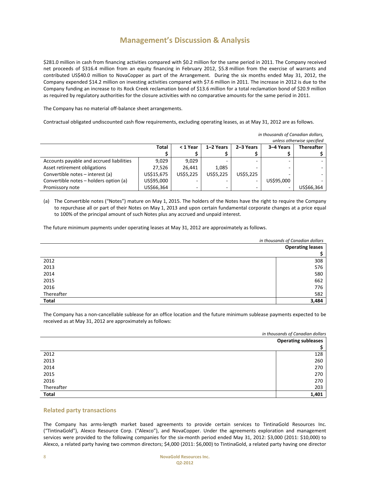\$281.0 million in cash from financing activities compared with \$0.2 million for the same period in 2011. The Company received net proceeds of \$316.4 million from an equity financing in February 2012, \$5.8 million from the exercise of warrants and contributed US\$40.0 million to NovaCopper as part of the Arrangement. During the six months ended May 31, 2012, the Company expended \$14.2 million on investing activities compared with \$7.6 million in 2011. The increase in 2012 is due to the Company funding an increase to its Rock Creek reclamation bond of \$13.6 million for a total reclamation bond of \$20.9 million as required by regulatory authorities for the closure activities with no comparative amounts for the same period in 2011.

The Company has no material off-balance sheet arrangements.

Contractual obligated undiscounted cash flow requirements, excluding operating leases, as at May 31, 2012 are as follows.

| in thousands of Canadian dollars,        |            |           |           |           |            |                            |
|------------------------------------------|------------|-----------|-----------|-----------|------------|----------------------------|
|                                          |            |           |           |           |            | unless otherwise specified |
|                                          | Total      | < 1 Year  | 1-2 Years | 2-3 Years | 3-4 Years  | <b>Thereafter</b>          |
|                                          |            |           |           |           |            |                            |
| Accounts payable and accrued liabilities | 9.029      | 9.029     |           | -         |            |                            |
| Asset retirement obligations             | 27.526     | 26.441    | 1.085     |           |            |                            |
| Convertible notes - interest (a)         | US\$15,675 | US\$5,225 | US\$5,225 | US\$5,225 |            |                            |
| Convertible notes - holders option (a)   | US\$95,000 |           |           | -         | US\$95,000 |                            |
| Promissory note                          | US\$66,364 |           | -         |           |            | US\$66.364                 |

(a) The Convertible notes ("Notes") mature on May 1, 2015. The holders of the Notes have the right to require the Company to repurchase all or part of their Notes on May 1, 2013 and upon certain fundamental corporate changes at a price equal to 100% of the principal amount of such Notes plus any accrued and unpaid interest.

The future minimum payments under operating leases at May 31, 2012 are approximately as follows.

|              | in thousands of Canadian dollars |  |  |
|--------------|----------------------------------|--|--|
|              | <b>Operating leases</b>          |  |  |
|              |                                  |  |  |
| 2012         | 308                              |  |  |
| 2013         | 576                              |  |  |
| 2014         | 580                              |  |  |
| 2015         | 662                              |  |  |
| 2016         | 776                              |  |  |
| Thereafter   | 582                              |  |  |
| <b>Total</b> | 3,484                            |  |  |

The Company has a non-cancellable sublease for an office location and the future minimum sublease payments expected to be received as at May 31, 2012 are approximately as follows:

*in thousands of Canadian dollars* 

|            | <b>Operating subleases</b> |
|------------|----------------------------|
|            | c                          |
| 2012       | 128                        |
| 2013       | 260                        |
| 2014       | 270                        |
| 2015       | 270                        |
| 2016       | 270                        |
| Thereafter | 203                        |
| Total      | 1,401                      |

## **Related party transactions**

The Company has arms-length market based agreements to provide certain services to TintinaGold Resources Inc. ("TintinaGold"), Alexco Resource Corp. ("Alexco"), and NovaCopper. Under the agreements exploration and management services were provided to the following companies for the six-month period ended May 31, 2012: \$3,000 (2011: \$10,000) to Alexco, a related party having two common directors; \$4,000 (2011: \$6,000) to TintinaGold, a related party having one director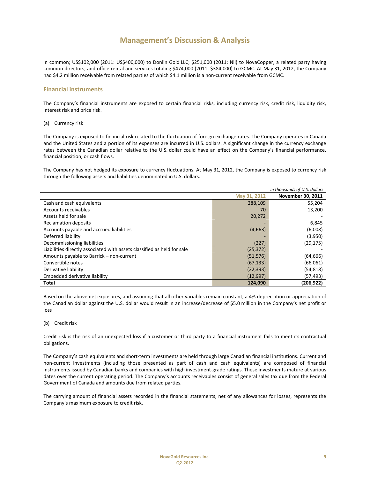in common; US\$102,000 (2011: US\$400,000) to Donlin Gold LLC; \$251,000 (2011: Nil) to NovaCopper, a related party having common directors; and office rental and services totaling \$474,000 (2011: \$384,000) to GCMC. At May 31, 2012, the Company had \$4.2 million receivable from related parties of which \$4.1 million is a non-current receivable from GCMC.

## **Financial instruments**

The Company's financial instruments are exposed to certain financial risks, including currency risk, credit risk, liquidity risk, interest risk and price risk.

#### (a) Currency risk

The Company is exposed to financial risk related to the fluctuation of foreign exchange rates. The Company operates in Canada and the United States and a portion of its expenses are incurred in U.S. dollars. A significant change in the currency exchange rates between the Canadian dollar relative to the U.S. dollar could have an effect on the Company's financial performance, financial position, or cash flows.

The Company has not hedged its exposure to currency fluctuations. At May 31, 2012, the Company is exposed to currency risk through the following assets and liabilities denominated in U.S. dollars.

| in thousands of U.S. dollars                                            |                   |            |  |  |  |  |
|-------------------------------------------------------------------------|-------------------|------------|--|--|--|--|
|                                                                         | November 30, 2011 |            |  |  |  |  |
| Cash and cash equivalents                                               | 288,109           | 55,204     |  |  |  |  |
| Accounts receivables                                                    | 70                | 13,200     |  |  |  |  |
| Assets held for sale                                                    | 20,272            |            |  |  |  |  |
| <b>Reclamation deposits</b>                                             |                   | 6,845      |  |  |  |  |
| Accounts payable and accrued liabilities                                | (4,663)           | (6,008)    |  |  |  |  |
| Deferred liability                                                      |                   | (3,950)    |  |  |  |  |
| Decommissioning liabilities                                             | (227)             | (29, 175)  |  |  |  |  |
| Liabilities directly associated with assets classified as held for sale | (25, 372)         |            |  |  |  |  |
| Amounts payable to Barrick - non-current                                | (51, 576)         | (64, 666)  |  |  |  |  |
| Convertible notes                                                       | (67, 133)         | (66,061)   |  |  |  |  |
| Derivative liability                                                    | (22, 393)         | (54, 818)  |  |  |  |  |
| Embedded derivative liability                                           | (12,997)          | (57, 493)  |  |  |  |  |
| Total                                                                   | 124,090           | (206, 922) |  |  |  |  |

Based on the above net exposures, and assuming that all other variables remain constant, a 4% depreciation or appreciation of the Canadian dollar against the U.S. dollar would result in an increase/decrease of \$5.0 million in the Company's net profit or loss

#### (b) Credit risk

Credit risk is the risk of an unexpected loss if a customer or third party to a financial instrument fails to meet its contractual obligations.

The Company's cash equivalents and short-term investments are held through large Canadian financial institutions. Current and non-current investments (including those presented as part of cash and cash equivalents) are composed of financial instruments issued by Canadian banks and companies with high investment-grade ratings. These investments mature at various dates over the current operating period. The Company's accounts receivables consist of general sales tax due from the Federal Government of Canada and amounts due from related parties.

The carrying amount of financial assets recorded in the financial statements, net of any allowances for losses, represents the Company's maximum exposure to credit risk.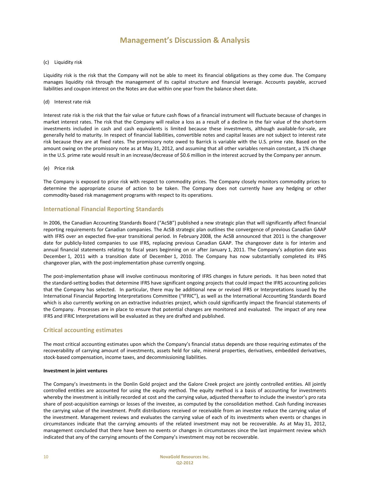#### (c) Liquidity risk

Liquidity risk is the risk that the Company will not be able to meet its financial obligations as they come due. The Company manages liquidity risk through the management of its capital structure and financial leverage. Accounts payable, accrued liabilities and coupon interest on the Notes are due within one year from the balance sheet date.

#### (d) Interest rate risk

Interest rate risk is the risk that the fair value or future cash flows of a financial instrument will fluctuate because of changes in market interest rates. The risk that the Company will realize a loss as a result of a decline in the fair value of the short-term investments included in cash and cash equivalents is limited because these investments, although available-for-sale, are generally held to maturity. In respect of financial liabilities, convertible notes and capital leases are not subject to interest rate risk because they are at fixed rates. The promissory note owed to Barrick is variable with the U.S. prime rate. Based on the amount owing on the promissory note as at May 31, 2012, and assuming that all other variables remain constant, a 1% change in the U.S. prime rate would result in an increase/decrease of \$0.6 million in the interest accrued by the Company per annum.

#### (e) Price risk

The Company is exposed to price risk with respect to commodity prices. The Company closely monitors commodity prices to determine the appropriate course of action to be taken. The Company does not currently have any hedging or other commodity-based risk management programs with respect to its operations.

# **International Financial Reporting Standards**

In 2006, the Canadian Accounting Standards Board ("AcSB") published a new strategic plan that will significantly affect financial reporting requirements for Canadian companies. The AcSB strategic plan outlines the convergence of previous Canadian GAAP with IFRS over an expected five-year transitional period. In February 2008, the AcSB announced that 2011 is the changeover date for publicly-listed companies to use IFRS, replacing previous Canadian GAAP. The changeover date is for interim and annual financial statements relating to fiscal years beginning on or after January 1, 2011. The Company's adoption date was December 1, 2011 with a transition date of December 1, 2010. The Company has now substantially completed its IFRS changeover plan, with the post-implementation phase currently ongoing.

The post-implementation phase will involve continuous monitoring of IFRS changes in future periods. It has been noted that the standard-setting bodies that determine IFRS have significant ongoing projects that could impact the IFRS accounting policies that the Company has selected. In particular, there may be additional new or revised IFRS or Interpretations issued by the International Financial Reporting Interpretations Committee ("IFRIC"), as well as the International Accounting Standards Board which is also currently working on an extractive industries project, which could significantly impact the financial statements of the Company. Processes are in place to ensure that potential changes are monitored and evaluated. The impact of any new IFRS and IFRIC Interpretations will be evaluated as they are drafted and published.

## **Critical accounting estimates**

The most critical accounting estimates upon which the Company's financial status depends are those requiring estimates of the recoverability of carrying amount of investments, assets held for sale, mineral properties, derivatives, embedded derivatives, stock-based compensation, income taxes, and decommissioning liabilities.

#### **Investment in joint ventures**

The Company's investments in the Donlin Gold project and the Galore Creek project are jointly controlled entities. All jointly controlled entities are accounted for using the equity method. The equity method is a basis of accounting for investments whereby the investment is initially recorded at cost and the carrying value, adjusted thereafter to include the investor's pro rata share of post-acquisition earnings or losses of the investee, as computed by the consolidation method. Cash funding increases the carrying value of the investment. Profit distributions received or receivable from an investee reduce the carrying value of the investment. Management reviews and evaluates the carrying value of each of its investments when events or changes in circumstances indicate that the carrying amounts of the related investment may not be recoverable. As at May 31, 2012, management concluded that there have been no events or changes in circumstances since the last impairment review which indicated that any of the carrying amounts of the Company's investment may not be recoverable.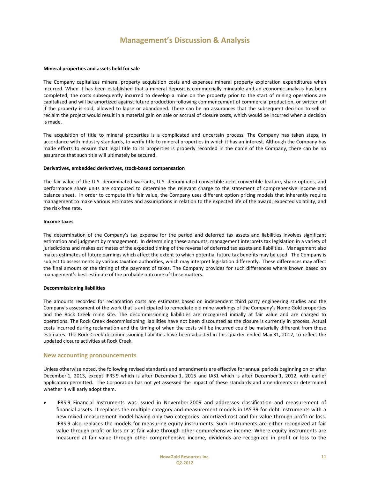#### **Mineral properties and assets held for sale**

The Company capitalizes mineral property acquisition costs and expenses mineral property exploration expenditures when incurred. When it has been established that a mineral deposit is commercially mineable and an economic analysis has been completed, the costs subsequently incurred to develop a mine on the property prior to the start of mining operations are capitalized and will be amortized against future production following commencement of commercial production, or written off if the property is sold, allowed to lapse or abandoned. There can be no assurances that the subsequent decision to sell or reclaim the project would result in a material gain on sale or accrual of closure costs, which would be incurred when a decision is made.

The acquisition of title to mineral properties is a complicated and uncertain process. The Company has taken steps, in accordance with industry standards, to verify title to mineral properties in which it has an interest. Although the Company has made efforts to ensure that legal title to its properties is properly recorded in the name of the Company, there can be no assurance that such title will ultimately be secured.

#### **Derivatives, embedded derivatives, stock-based compensation**

The fair value of the U.S. denominated warrants, U.S. denominated convertible debt convertible feature, share options, and performance share units are computed to determine the relevant charge to the statement of comprehensive income and balance sheet. In order to compute this fair value, the Company uses different option pricing models that inherently require management to make various estimates and assumptions in relation to the expected life of the award, expected volatility, and the risk-free rate.

#### **Income taxes**

The determination of the Company's tax expense for the period and deferred tax assets and liabilities involves significant estimation and judgment by management. In determining these amounts, management interprets tax legislation in a variety of jurisdictions and makes estimates of the expected timing of the reversal of deferred tax assets and liabilities. Management also makes estimates of future earnings which affect the extent to which potential future tax benefits may be used. The Company is subject to assessments by various taxation authorities, which may interpret legislation differently. These differences may affect the final amount or the timing of the payment of taxes. The Company provides for such differences where known based on management's best estimate of the probable outcome of these matters.

#### **Decommissioning liabilities**

The amounts recorded for reclamation costs are estimates based on independent third party engineering studies and the Company's assessment of the work that is anticipated to remediate old mine workings of the Company's Nome Gold properties and the Rock Creek mine site. The decommissioning liabilities are recognized initially at fair value and are charged to operations. The Rock Creek decommissioning liabilities have not been discounted as the closure is currently in process. Actual costs incurred during reclamation and the timing of when the costs will be incurred could be materially different from these estimates. The Rock Creek decommissioning liabilities have been adjusted in this quarter ended May 31, 2012, to reflect the updated closure activities at Rock Creek.

#### **New accounting pronouncements**

Unless otherwise noted, the following revised standards and amendments are effective for annual periods beginning on or after December 1, 2013, except IFRS 9 which is after December 1, 2015 and IAS1 which is after December 1, 2012, with earlier application permitted. The Corporation has not yet assessed the impact of these standards and amendments or determined whether it will early adopt them.

• IFRS 9 Financial Instruments was issued in November 2009 and addresses classification and measurement of financial assets. It replaces the multiple category and measurement models in IAS 39 for debt instruments with a new mixed measurement model having only two categories: amortized cost and fair value through profit or loss. IFRS 9 also replaces the models for measuring equity instruments. Such instruments are either recognized at fair value through profit or loss or at fair value through other comprehensive income. Where equity instruments are measured at fair value through other comprehensive income, dividends are recognized in profit or loss to the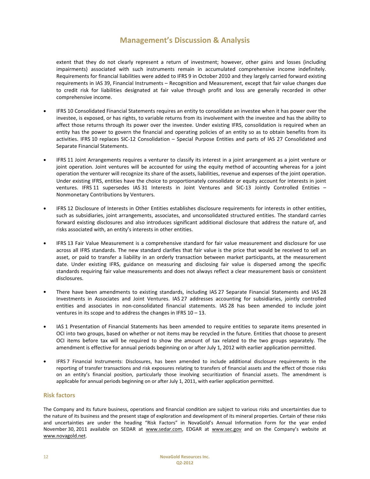extent that they do not clearly represent a return of investment; however, other gains and losses (including impairments) associated with such instruments remain in accumulated comprehensive income indefinitely. Requirements for financial liabilities were added to IFRS 9 in October 2010 and they largely carried forward existing requirements in IAS 39, Financial Instruments – Recognition and Measurement, except that fair value changes due to credit risk for liabilities designated at fair value through profit and loss are generally recorded in other comprehensive income.

- IFRS 10 Consolidated Financial Statements requires an entity to consolidate an investee when it has power over the investee, is exposed, or has rights, to variable returns from its involvement with the investee and has the ability to affect those returns through its power over the investee. Under existing IFRS, consolidation is required when an entity has the power to govern the financial and operating policies of an entity so as to obtain benefits from its activities. IFRS 10 replaces SIC-12 Consolidation – Special Purpose Entities and parts of IAS 27 Consolidated and Separate Financial Statements.
- IFRS 11 Joint Arrangements requires a venturer to classify its interest in a joint arrangement as a joint venture or joint operation. Joint ventures will be accounted for using the equity method of accounting whereas for a joint operation the venturer will recognize its share of the assets, liabilities, revenue and expenses of the joint operation. Under existing IFRS, entities have the choice to proportionately consolidate or equity account for interests in joint ventures. IFRS 11 supersedes IAS 31 Interests in Joint Ventures and SIC-13 Jointly Controlled Entities – Nonmonetary Contributions by Venturers.
- IFRS 12 Disclosure of Interests in Other Entities establishes disclosure requirements for interests in other entities, such as subsidiaries, joint arrangements, associates, and unconsolidated structured entities. The standard carries forward existing disclosures and also introduces significant additional disclosure that address the nature of, and risks associated with, an entity's interests in other entities.
- IFRS 13 Fair Value Measurement is a comprehensive standard for fair value measurement and disclosure for use across all IFRS standards. The new standard clarifies that fair value is the price that would be received to sell an asset, or paid to transfer a liability in an orderly transaction between market participants, at the measurement date. Under existing IFRS, guidance on measuring and disclosing fair value is dispersed among the specific standards requiring fair value measurements and does not always reflect a clear measurement basis or consistent disclosures.
- There have been amendments to existing standards, including IAS 27 Separate Financial Statements and IAS 28 Investments in Associates and Joint Ventures. IAS 27 addresses accounting for subsidiaries, jointly controlled entities and associates in non-consolidated financial statements. IAS 28 has been amended to include joint ventures in its scope and to address the changes in IFRS  $10 - 13$ .
- IAS 1 Presentation of Financial Statements has been amended to require entities to separate items presented in OCI into two groups, based on whether or not items may be recycled in the future. Entities that choose to present OCI items before tax will be required to show the amount of tax related to the two groups separately. The amendment is effective for annual periods beginning on or after July 1, 2012 with earlier application permitted.
- IFRS 7 Financial Instruments: Disclosures, has been amended to include additional disclosure requirements in the reporting of transfer transactions and risk exposures relating to transfers of financial assets and the effect of those risks on an entity's financial position, particularly those involving securitization of financial assets. The amendment is applicable for annual periods beginning on or after July 1, 2011, with earlier application permitted.

## **Risk factors**

The Company and its future business, operations and financial condition are subject to various risks and uncertainties due to the nature of its business and the present stage of exploration and development of its mineral properties. Certain of these risks and uncertainties are under the heading "Risk Factors" in NovaGold's Annual Information Form for the year ended November 30, 2011 available on SEDAR at www.sedar.com, EDGAR at www.sec.gov and on the Company's website at www.novagold.net.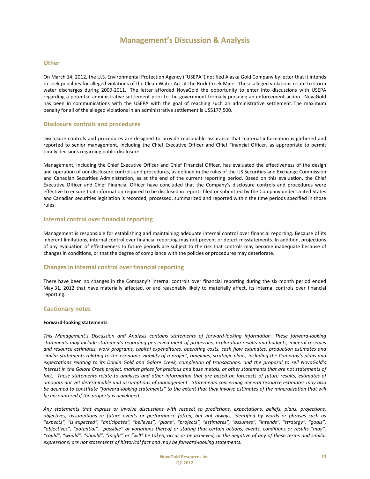#### **Other**

On March 14, 2012, the U.S. Environmental Protection Agency ("USEPA") notified Alaska Gold Company by letter that it intends to seek penalties for alleged violations of the Clean Water Act at the Rock Creek Mine. These alleged violations relate to storm water discharges during 2009-2011. The letter afforded NovaGold the opportunity to enter into discussions with USEPA regarding a potential administrative settlement prior to the government formally pursuing an enforcement action. NovaGold has been in communications with the USEPA with the goal of reaching such an administrative settlement. The maximum penalty for all of the alleged violations in an administrative settlement is US\$177,500.

#### **Disclosure controls and procedures**

Disclosure controls and procedures are designed to provide reasonable assurance that material information is gathered and reported to senior management, including the Chief Executive Officer and Chief Financial Officer, as appropriate to permit timely decisions regarding public disclosure.

Management, including the Chief Executive Officer and Chief Financial Officer, has evaluated the effectiveness of the design and operation of our disclosure controls and procedures, as defined in the rules of the US Securities and Exchange Commission and Canadian Securities Administration, as at the end of the current reporting period. Based on this evaluation, the Chief Executive Officer and Chief Financial Officer have concluded that the Company's disclosure controls and procedures were effective to ensure that information required to be disclosed in reports filed or submitted by the Company under United States and Canadian securities legislation is recorded, processed, summarized and reported within the time periods specified in those rules.

## **Internal control over financial reporting**

Management is responsible for establishing and maintaining adequate internal control over financial reporting. Because of its inherent limitations, internal control over financial reporting may not prevent or detect misstatements. In addition, projections of any evaluation of effectiveness to future periods are subject to the risk that controls may become inadequate because of changes in conditions, or that the degree of compliance with the policies or procedures may deteriorate.

## **Changes in internal control over financial reporting**

There have been no changes in the Company's internal controls over financial reporting during the six month period ended May 31, 2012 that have materially affected, or are reasonably likely to materially affect, its internal controls over financial reporting.

#### **Cautionary notes**

#### **Forward-looking statements**

*This Management's Discussion and Analysis contains statements of forward-looking information. These forward-looking statements may include statements regarding perceived merit of properties, exploration results and budgets, mineral reserves and resource estimates, work programs, capital expenditures, operating costs, cash flow estimates, production estimates and similar statements relating to the economic viability of a project, timelines, strategic plans, including the Company's plans and expectations relating to its Donlin Gold and Galore Creek, completion of transactions, and the proposal to sell NovaGold's interest in the Galore Creek project, market prices for precious and base metals, or other statements that are not statements of*  fact. These statements relate to analyses and other information that are based on forecasts of future results, estimates of *amounts not yet determinable and assumptions of management. Statements concerning mineral resource estimates may also be deemed to constitute "forward-looking statements" to the extent that they involve estimates of the mineralization that will be encountered if the property is developed.* 

*Any statements that express or involve discussions with respect to predictions, expectations, beliefs, plans, projections, objectives, assumptions or future events or performance (often, but not always, identified by words or phrases such as "expects", "is expected", "anticipates", "believes", "plans", "projects", "estimates", "assumes", "intends", "strategy", "goals", "objectives", "potential", "possible" or variations thereof or stating that certain actions, events, conditions or results "may", "could", "would", "should", "might" or "will" be taken, occur or be achieved, or the negative of any of these terms and similar expressions) are not statements of historical fact and may be forward-looking statements.*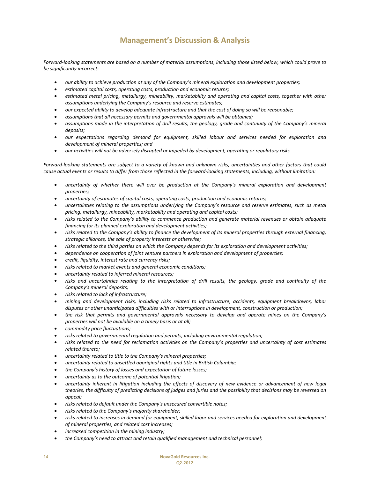*Forward-looking statements are based on a number of material assumptions, including those listed below, which could prove to be significantly incorrect:* 

- *our ability to achieve production at any of the Company's mineral exploration and development properties;*
- *estimated capital costs, operating costs, production and economic returns;*
- *estimated metal pricing, metallurgy, mineability, marketability and operating and capital costs, together with other assumptions underlying the Company's resource and reserve estimates;*
- *our expected ability to develop adequate infrastructure and that the cost of doing so will be reasonable;*
- *assumptions that all necessary permits and governmental approvals will be obtained;*
- *assumptions made in the interpretation of drill results, the geology, grade and continuity of the Company's mineral deposits;*
- *our expectations regarding demand for equipment, skilled labour and services needed for exploration and development of mineral properties; and*
- *our activities will not be adversely disrupted or impeded by development, operating or regulatory risks.*

*Forward-looking statements are subject to a variety of known and unknown risks, uncertainties and other factors that could cause actual events or results to differ from those reflected in the forward-looking statements, including, without limitation:*

- *uncertainty of whether there will ever be production at the Company's mineral exploration and development properties;*
- *uncertainty of estimates of capital costs, operating costs, production and economic returns;*
- *uncertainties relating to the assumptions underlying the Company's resource and reserve estimates, such as metal pricing, metallurgy, mineability, marketability and operating and capital costs;*
- *risks related to the Company's ability to commence production and generate material revenues or obtain adequate financing for its planned exploration and development activities;*
- *risks related to the Company's ability to finance the development of its mineral properties through external financing, strategic alliances, the sale of property interests or otherwise;*
- *risks related to the third parties on which the Company depends for its exploration and development activities;*
- *dependence on cooperation of joint venture partners in exploration and development of properties;*
- *credit, liquidity, interest rate and currency risks;*
- *risks related to market events and general economic conditions;*
- *uncertainty related to inferred mineral resources;*
- *risks and uncertainties relating to the interpretation of drill results, the geology, grade and continuity of the Company's mineral deposits;*
- *risks related to lack of infrastructure;*
- *mining and development risks, including risks related to infrastructure, accidents, equipment breakdowns, labor disputes or other unanticipated difficulties with or interruptions in development, construction or production;*
- *the risk that permits and governmental approvals necessary to develop and operate mines on the Company's properties will not be available on a timely basis or at all;*
- *commodity price fluctuations;*
- *risks related to governmental regulation and permits, including environmental regulation;*
- *risks related to the need for reclamation activities on the Company's properties and uncertainty of cost estimates related thereto;*
- *uncertainty related to title to the Company's mineral properties;*
- *uncertainty related to unsettled aboriginal rights and title in British Columbia;*
- *the Company's history of losses and expectation of future losses;*
- *uncertainty as to the outcome of potential litigation;*
- *uncertainty inherent in litigation including the effects of discovery of new evidence or advancement of new legal theories, the difficulty of predicting decisions of judges and juries and the possibility that decisions may be reversed on appeal;*
- *risks related to default under the Company's unsecured convertible notes;*
- *risks related to the Company's majority shareholder;*
- *risks related to increases in demand for equipment, skilled labor and services needed for exploration and development of mineral properties, and related cost increases;*
- *increased competition in the mining industry;*
- *the Company's need to attract and retain qualified management and technical personnel;*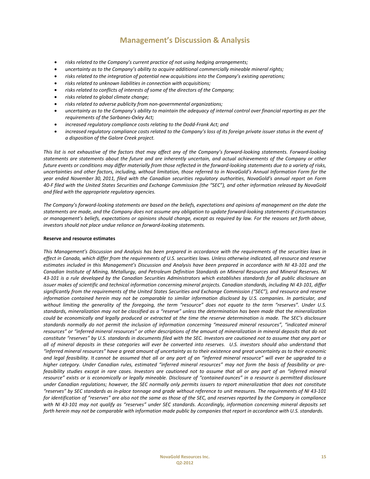- *risks related to the Company's current practice of not using hedging arrangements;*
- *uncertainty as to the Company's ability to acquire additional commercially mineable mineral rights;*
- *risks related to the integration of potential new acquisitions into the Company's existing operations;*
- *risks related to unknown liabilities in connection with acquisitions;*
- *risks related to conflicts of interests of some of the directors of the Company;*
- *risks related to global climate change;*
- *risks related to adverse publicity from non-governmental organizations;*
- *uncertainty as to the Company's ability to maintain the adequacy of internal control over financial reporting as per the requirements of the Sarbanes-Oxley Act;*
- *increased regulatory compliance costs relating to the Dodd-Frank Act; and*
- *increased regulatory compliance costs related to the Company's loss of its foreign private issuer status in the event of a disposition of the Galore Creek project.*

*This list is not exhaustive of the factors that may affect any of the Company's forward-looking statements. Forward-looking statements are statements about the future and are inherently uncertain, and actual achievements of the Company or other future events or conditions may differ materially from those reflected in the forward-looking statements due to a variety of risks, uncertainties and other factors, including, without limitation, those referred to in NovaGold's Annual Information Form for the year ended November 30, 2011, filed with the Canadian securities regulatory authorities, NovaGold's annual report on Form 40-F filed with the United States Securities and Exchange Commission (the "SEC"), and other information released by NovaGold and filed with the appropriate regulatory agencies.* 

*The Company's forward-looking statements are based on the beliefs, expectations and opinions of management on the date the statements are made, and the Company does not assume any obligation to update forward-looking statements if circumstances or management's beliefs, expectations or opinions should change, except as required by law. For the reasons set forth above, investors should not place undue reliance on forward-looking statements.* 

#### **Reserve and resource estimates**

*This Management's Discussion and Analysis has been prepared in accordance with the requirements of the securities laws in effect in Canada, which differ from the requirements of U.S. securities laws. Unless otherwise indicated, all resource and reserve estimates included in this Management's Discussion and Analysis have been prepared in accordance with NI 43-101 and the Canadian Institute of Mining, Metallurgy, and Petroleum Definition Standards on Mineral Resources and Mineral Reserves. NI 43-101 is a rule developed by the Canadian Securities Administrators which establishes standards for all public disclosure an issuer makes of scientific and technical information concerning mineral projects. Canadian standards, including NI 43-101, differ significantly from the requirements of the United States Securities and Exchange Commission ("SEC"), and resource and reserve information contained herein may not be comparable to similar information disclosed by U.S. companies. In particular, and without limiting the generality of the foregoing, the term "resource" does not equate to the term "reserves". Under U.S. standards, mineralization may not be classified as a "reserve" unless the determination has been made that the mineralization could be economically and legally produced or extracted at the time the reserve determination is made. The SEC's disclosure standards normally do not permit the inclusion of information concerning "measured mineral resources", "indicated mineral resources" or "inferred mineral resources" or other descriptions of the amount of mineralization in mineral deposits that do not constitute "reserves" by U.S. standards in documents filed with the SEC. Investors are cautioned not to assume that any part or all of mineral deposits in these categories will ever be converted into reserves. U.S. investors should also understand that "inferred mineral resources" have a great amount of uncertainty as to their existence and great uncertainty as to their economic and legal feasibility. It cannot be assumed that all or any part of an "inferred mineral resource" will ever be upgraded to a higher category. Under Canadian rules, estimated "inferred mineral resources" may not form the basis of feasibility or prefeasibility studies except in rare cases. Investors are cautioned not to assume that all or any part of an "inferred mineral resource" exists or is economically or legally mineable. Disclosure of "contained ounces" in a resource is permitted disclosure under Canadian regulations; however, the SEC normally only permits issuers to report mineralization that does not constitute "reserves" by SEC standards as in-place tonnage and grade without reference to unit measures. The requirements of NI 43-101 for identification of "reserves" are also not the same as those of the SEC, and reserves reported by the Company in compliance with NI 43-101 may not qualify as "reserves" under SEC standards. Accordingly, information concerning mineral deposits set*  forth herein may not be comparable with information made public by companies that report in accordance with U.S. standards.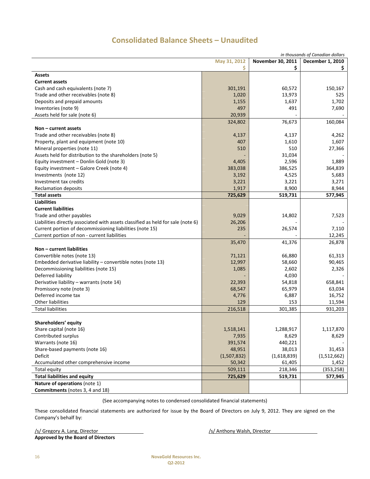# **Consolidated Balance Sheets – Unaudited**

| in thousands of Canadian dollars                                                 |              |                   |                  |  |  |  |  |
|----------------------------------------------------------------------------------|--------------|-------------------|------------------|--|--|--|--|
|                                                                                  | May 31, 2012 | November 30, 2011 | December 1, 2010 |  |  |  |  |
|                                                                                  | \$.          | \$                | Ş.               |  |  |  |  |
| <b>Assets</b>                                                                    |              |                   |                  |  |  |  |  |
| <b>Current assets</b>                                                            |              |                   |                  |  |  |  |  |
| Cash and cash equivalents (note 7)                                               | 301,191      | 60,572            | 150,167          |  |  |  |  |
| Trade and other receivables (note 8)                                             | 1,020        | 13,973            | 525              |  |  |  |  |
| Deposits and prepaid amounts                                                     | 1,155        | 1,637             | 1,702            |  |  |  |  |
| Inventories (note 9)                                                             | 497          | 491               | 7,690            |  |  |  |  |
| Assets held for sale (note 6)                                                    | 20,939       |                   |                  |  |  |  |  |
|                                                                                  | 324,802      | 76,673            | 160,084          |  |  |  |  |
| Non - current assets                                                             |              |                   |                  |  |  |  |  |
| Trade and other receivables (note 8)                                             | 4,137        | 4,137             | 4,262            |  |  |  |  |
| Property, plant and equipment (note 10)                                          | 407          | 1,610             | 1,607            |  |  |  |  |
| Mineral properties (note 11)                                                     | 510          | 510               | 27,366           |  |  |  |  |
| Assets held for distribution to the shareholders (note 5)                        |              | 31,034            |                  |  |  |  |  |
| Equity investment - Donlin Gold (note 3)                                         | 4,405        | 2,596             | 1,889            |  |  |  |  |
| Equity investment - Galore Creek (note 4)                                        | 383,038      | 386,525           | 364,839          |  |  |  |  |
| Investments (note 12)                                                            | 3,192        | 4,525             | 5,683            |  |  |  |  |
| Investment tax credits                                                           | 3,221        | 3,221             | 3,271            |  |  |  |  |
| <b>Reclamation deposits</b>                                                      | 1,917        | 8,900             | 8,944            |  |  |  |  |
| <b>Total assets</b>                                                              | 725,629      | 519,731           | 577,945          |  |  |  |  |
| <b>Liabilities</b>                                                               |              |                   |                  |  |  |  |  |
| <b>Current liabilities</b>                                                       |              |                   |                  |  |  |  |  |
| Trade and other payables                                                         | 9,029        | 14,802            | 7,523            |  |  |  |  |
| Liabilities directly associated with assets classified as held for sale (note 6) | 26,206       |                   |                  |  |  |  |  |
| Current portion of decommissioning liabilities (note 15)                         | 235          | 26,574            | 7,110            |  |  |  |  |
| Current portion of non - current liabilities                                     |              |                   | 12,245           |  |  |  |  |
|                                                                                  |              |                   |                  |  |  |  |  |
| Non - current liabilities                                                        | 35,470       | 41,376            | 26,878           |  |  |  |  |
|                                                                                  |              |                   |                  |  |  |  |  |
| Convertible notes (note 13)                                                      | 71,121       | 66,880            | 61,313           |  |  |  |  |
| Embedded derivative liability $-$ convertible notes (note 13)                    | 12,997       | 58,660            | 90,465           |  |  |  |  |
| Decommissioning liabilities (note 15)                                            | 1,085        | 2,602             | 2,326            |  |  |  |  |
| Deferred liability                                                               |              | 4,030             |                  |  |  |  |  |
| Derivative liability - warrants (note 14)                                        | 22,393       | 54,818            | 658,841          |  |  |  |  |
| Promissory note (note 3)                                                         | 68,547       | 65,979            | 63,034           |  |  |  |  |
| Deferred income tax                                                              | 4,776        | 6,887             | 16,752           |  |  |  |  |
| <b>Other liabilities</b>                                                         | 129          | 153               | 11,594           |  |  |  |  |
| <b>Total liabilities</b>                                                         | 216,518      | 301,385           | 931,203          |  |  |  |  |
|                                                                                  |              |                   |                  |  |  |  |  |
| Shareholders' equity                                                             |              |                   |                  |  |  |  |  |
| Share capital (note 16)                                                          | 1,518,141    | 1,288,917         | 1,117,870        |  |  |  |  |
| Contributed surplus                                                              | 7,935        | 8,629             | 8,629            |  |  |  |  |
| Warrants (note 16)                                                               | 391,574      | 440,221           |                  |  |  |  |  |
| Share-based payments (note 16)                                                   | 48,951       | 38,013            | 31,453           |  |  |  |  |
| Deficit                                                                          | (1,507,832)  | (1,618,839)       | (1,512,662)      |  |  |  |  |
| Accumulated other comprehensive income                                           | 50,342       | 61,405            | 1,452            |  |  |  |  |
| Total equity                                                                     | 509,111      | 218,346           | (353, 258)       |  |  |  |  |
| <b>Total liabilities and equity</b>                                              | 725,629      | 519,731           | 577,945          |  |  |  |  |
| Nature of operations (note 1)                                                    |              |                   |                  |  |  |  |  |
| <b>Commitments</b> (notes 3, 4 and 18)                                           |              |                   |                  |  |  |  |  |

(See accompanying notes to condensed consolidated financial statements)

These consolidated financial statements are authorized for issue by the Board of Directors on July 9, 2012. They are signed on the Company's behalf by:

/s/ Gregory A. Lang, Director /s/ Anthony Walsh, Director /s/ Anthony Walsh, Director **Approved by the Board of Directors**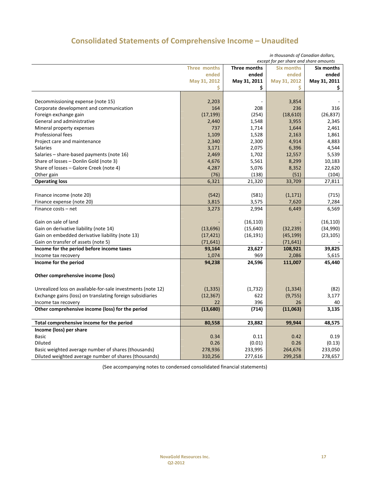# **Consolidated Statements of Comprehensive Income – Unaudited**

|                                                             |              |                     | in thousands of Canadian dollars,                           |              |
|-------------------------------------------------------------|--------------|---------------------|-------------------------------------------------------------|--------------|
|                                                             | Three months | <b>Three months</b> | except for per share and share amounts<br><b>Six months</b> | Six months   |
|                                                             | ended        | ended               | ended                                                       | ended        |
|                                                             |              |                     |                                                             |              |
|                                                             | May 31, 2012 | May 31, 2011        | May 31, 2012                                                | May 31, 2011 |
|                                                             | Ś            | \$                  | Ś.                                                          | \$.          |
|                                                             |              |                     |                                                             |              |
| Decommissioning expense (note 15)                           | 2,203        |                     | 3,854                                                       |              |
| Corporate development and communication                     | 164          | 208                 | 236                                                         | 316          |
| Foreign exchange gain                                       | (17, 199)    | (254)               | (18, 610)                                                   | (26, 837)    |
| General and administrative                                  | 2,440        | 1,548               | 3,955                                                       | 2,345        |
| Mineral property expenses                                   | 737          | 1,714               | 1,644                                                       | 2,461        |
| Professional fees                                           | 1,109        | 1,528               | 2,163                                                       | 1,861        |
| Project care and maintenance                                | 2,340        | 2,300               | 4,914                                                       | 4,883        |
| <b>Salaries</b>                                             | 3,171        | 2,075               | 6,396                                                       | 4,544        |
| Salaries - share-based payments (note 16)                   | 2,469        | 1,702               | 12,557                                                      | 5,539        |
| Share of losses - Donlin Gold (note 3)                      | 4,676        | 5,561               | 8,299                                                       | 10,183       |
| Share of losses - Galore Creek (note 4)                     | 4,287        | 5,076               | 8,352                                                       | 22,620       |
| Other gain                                                  | (76)         | (138)               | (51)                                                        | (104)        |
| <b>Operating loss</b>                                       | 6,321        | 21,320              | 33,709                                                      | 27,811       |
|                                                             |              |                     |                                                             |              |
| Finance income (note 20)                                    | (542)        | (581)               | (1, 171)                                                    | (715)        |
| Finance expense (note 20)                                   | 3,815        | 3,575               | 7,620                                                       | 7,284        |
| Finance costs - net                                         | 3,273        | 2,994               | 6,449                                                       | 6,569        |
|                                                             |              |                     |                                                             |              |
| Gain on sale of land                                        |              | (16, 110)           |                                                             | (16, 110)    |
| Gain on derivative liability (note 14)                      | (13,696)     | (15, 640)           | (32, 239)                                                   | (34,990)     |
| Gain on embedded derivative liability (note 13)             | (17, 421)    | (16, 191)           | (45, 199)                                                   | (23, 105)    |
| Gain on transfer of assets (note 5)                         | (71, 641)    |                     | (71, 641)                                                   |              |
| Income for the period before income taxes                   | 93,164       | 23,627              | 108,921                                                     | 39,825       |
| Income tax recovery                                         | 1,074        | 969                 | 2,086                                                       | 5,615        |
| Income for the period                                       | 94,238       | 24,596              | 111,007                                                     | 45,440       |
|                                                             |              |                     |                                                             |              |
| Other comprehensive income (loss)                           |              |                     |                                                             |              |
|                                                             |              |                     |                                                             |              |
| Unrealized loss on available-for-sale investments (note 12) | (1, 335)     | (1,732)             | (1, 334)                                                    | (82)         |
|                                                             | (12, 367)    | 622                 | (9, 755)                                                    | 3,177        |
| Exchange gains (loss) on translating foreign subsidiaries   | 22           | 396                 | 26                                                          | 40           |
| Income tax recovery                                         |              |                     |                                                             |              |
| Other comprehensive income (loss) for the period            | (13,680)     | (714)               | (11,063)                                                    | 3,135        |
| Total comprehensive income for the period                   | 80,558       | 23,882              | 99,944                                                      | 48,575       |
| Income (loss) per share                                     |              |                     |                                                             |              |
| <b>Basic</b>                                                | 0.34         | 0.11                | 0.42                                                        | 0.19         |
| <b>Diluted</b>                                              | 0.26         |                     | 0.26                                                        |              |
|                                                             |              | (0.01)              |                                                             | (0.13)       |
| Basic weighted average number of shares (thousands)         | 278,936      | 233,995             | 264,676                                                     | 233,050      |
| Diluted weighted average number of shares (thousands)       | 310,256      | 277,616             | 299,258                                                     | 278,657      |

(See accompanying notes to condensed consolidated financial statements)

÷,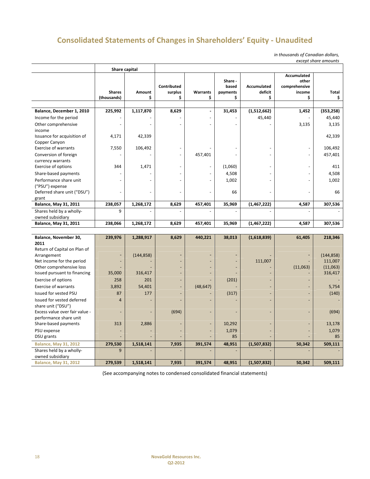# **Consolidated Statements of Changes in Shareholders' Equity - Unaudited**

*in thousands of Canadian dollars, except share amounts*

|                                                               | Share capital |           |                        |          |                              |                        |                                                 |              |
|---------------------------------------------------------------|---------------|-----------|------------------------|----------|------------------------------|------------------------|-------------------------------------------------|--------------|
|                                                               | <b>Shares</b> | Amount    | Contributed<br>surplus | Warrants | Share -<br>based<br>payments | Accumulated<br>deficit | Accumulated<br>other<br>comprehensive<br>income | <b>Total</b> |
|                                                               | (thousands)   |           | \$                     | \$       | \$                           | \$                     | \$                                              | \$           |
|                                                               |               |           |                        |          |                              |                        |                                                 |              |
| Balance, December 1, 2010                                     | 225,992       | 1,117,870 | 8,629                  |          | 31,453                       | (1,512,662)            | 1,452                                           | (353, 258)   |
| Income for the period                                         |               |           |                        |          |                              | 45,440                 |                                                 | 45,440       |
| Other comprehensive<br>income                                 |               |           |                        |          |                              |                        | 3,135                                           | 3,135        |
| Issuance for acquisition of<br>Copper Canyon                  | 4,171         | 42,339    |                        |          |                              |                        |                                                 | 42,339       |
| <b>Exercise of warrants</b>                                   | 7,550         | 106,492   |                        |          |                              |                        |                                                 | 106,492      |
| Conversion of foreign<br>currency warrants                    |               |           |                        | 457,401  |                              |                        |                                                 | 457,401      |
| Exercise of options                                           | 344           | 1,471     |                        |          | (1,060)                      |                        |                                                 | 411          |
| Share-based payments                                          |               |           |                        |          | 4,508                        |                        |                                                 | 4,508        |
| Performance share unit<br>("PSU") expense                     |               |           |                        |          | 1,002                        |                        |                                                 | 1,002        |
| Deferred share unit ("DSU")<br>grant                          |               |           |                        |          | 66                           |                        |                                                 | 66           |
| <b>Balance, May 31, 2011</b>                                  | 238,057       | 1,268,172 | 8,629                  | 457,401  | 35,969                       | (1,467,222)            | 4,587                                           | 307,536      |
| Shares held by a wholly-<br>owned subsidiary                  | 9             |           |                        |          |                              |                        |                                                 |              |
| <b>Balance, May 31, 2011</b>                                  | 238,066       | 1,268,172 | 8,629                  | 457,401  | 35,969                       | (1,467,222)            | 4,587                                           | 307,536      |
|                                                               |               |           |                        |          |                              |                        |                                                 |              |
| Balance, November 30,<br>2011<br>Return of Capital on Plan of | 239,976       | 1,288,917 | 8,629                  | 440,221  | 38,013                       | (1,618,839)            | 61,405                                          | 218,346      |
|                                                               |               |           |                        |          |                              |                        |                                                 |              |

| Return of Capital on Plan of   |         |            |       |           |        |             |                          |            |
|--------------------------------|---------|------------|-------|-----------|--------|-------------|--------------------------|------------|
| Arrangement                    |         | (144, 858) |       |           |        |             | ۰.                       | (144, 858) |
| Net income for the period      |         |            |       |           |        | 111,007     |                          | 111,007    |
| Other comprehensive loss       |         |            |       |           |        |             | (11,063)                 | (11,063)   |
| Issued pursuant to financing   | 35,000  | 316,417    |       |           |        |             |                          | 316,417    |
| Exercise of options            | 258     | 201        |       |           | (201)  |             |                          |            |
| <b>Exercise of warrants</b>    | 3,892   | 54,401     |       | (48, 647) |        |             | $\overline{\phantom{a}}$ | 5,754      |
| Issued for vested PSU          | 87      | 177        |       |           | (317)  |             |                          | (140)      |
| Issued for vested deferred     | 4       |            |       |           |        |             |                          |            |
| share unit ("DSU")             |         |            |       |           |        |             |                          |            |
| Excess value over fair value - |         | -          | (694) |           |        |             | $\overline{\phantom{0}}$ | (694)      |
| performance share unit         |         |            |       |           |        |             |                          |            |
| Share-based payments           | 313     | 2,886      |       |           | 10,292 |             | ٠                        | 13,178     |
| PSU expense                    |         |            |       |           | 1,079  |             |                          | 1,079      |
| DSU grants                     |         |            |       |           | 85     |             |                          | 85         |
| <b>Balance, May 31, 2012</b>   | 279,530 | 1,518,141  | 7,935 | 391,574   | 48,951 | (1,507,832) | 50,342                   | 509,111    |
| Shares held by a wholly-       | 9       |            |       |           |        |             |                          |            |
| owned subsidiary               |         |            |       |           |        |             |                          |            |
| <b>Balance, May 31, 2012</b>   | 279,539 | 1,518,141  | 7,935 | 391,574   | 48,951 | (1,507,832) | 50,342                   | 509,111    |

(See accompanying notes to condensed consolidated financial statements)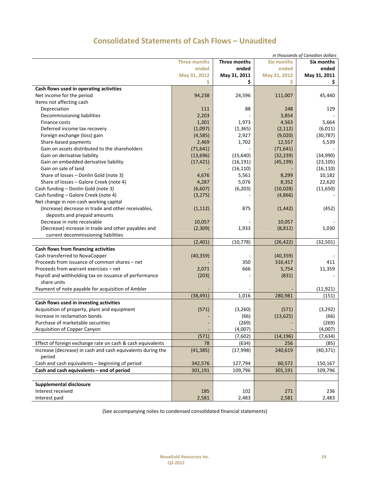| in thousands of Canadian dollars                            |                     |              |                   |              |  |  |
|-------------------------------------------------------------|---------------------|--------------|-------------------|--------------|--|--|
|                                                             | <b>Three months</b> | Three months | <b>Six months</b> | Six months   |  |  |
|                                                             | ended               | ended        | ended             | ended        |  |  |
|                                                             | May 31, 2012        | May 31, 2011 | May 31, 2012      | May 31, 2011 |  |  |
|                                                             | \$                  | \$           | \$                | Ş.           |  |  |
| Cash flows used in operating activities                     |                     |              |                   |              |  |  |
| Net income for the period                                   | 94,238              | 24,596       | 111,007           | 45,440       |  |  |
| Items not affecting cash                                    |                     |              |                   |              |  |  |
| Depreciation                                                | 111                 | 88           | 248               | 129          |  |  |
| Decommissioning liabilities                                 | 2,203               |              | 3,854             |              |  |  |
| Finance costs                                               | 1,301               | 1,973        | 4,563             | 5,664        |  |  |
| Deferred income tax recovery                                | (1,097)             | (1, 365)     | (2, 112)          | (6,011)      |  |  |
| Foreign exchange (loss) gain                                | (4, 585)            | 2,927        | (9,020)           | (30, 787)    |  |  |
| Share-based payments                                        | 2,469               | 1,702        | 12,557            | 5,539        |  |  |
| Gain on assets distributed to the shareholders              | (71, 641)           |              | (71, 641)         |              |  |  |
| Gain on derivative liability                                | (13, 696)           | (15, 640)    | (32, 239)         | (34,990)     |  |  |
| Gain on embedded derivative liability                       | (17, 421)           | (16, 191)    | (45, 199)         | (23, 105)    |  |  |
| Gain on sale of land                                        |                     | (16, 110)    |                   | (16, 110)    |  |  |
| Share of losses - Donlin Gold (note 3)                      | 4,676               | 5,561        | 8,299             | 10,182       |  |  |
| Share of losses - Galore Creek (note 4)                     | 4,287               | 5,076        | 8,352             | 22,620       |  |  |
| Cash funding - Donlin Gold (note 3)                         | (6,607)             | (6, 203)     | (10,028)          | (11,650)     |  |  |
| Cash funding - Galore Creek (note 4)                        | (3, 275)            |              | (4,866)           |              |  |  |
| Net change in non-cash working capital                      |                     |              |                   |              |  |  |
| (Increase) decrease in trade and other receivables,         | (1, 112)            | 875          | (1, 442)          | (452)        |  |  |
| deposits and prepaid amounts                                |                     |              |                   |              |  |  |
| Decrease in note receivable                                 | 10,057              |              | 10,057            |              |  |  |
| (Decrease) increase in trade and other payables and         | (2,309)             | 1,933        | (8, 812)          | 1,030        |  |  |
| current decommissioning liabilities                         |                     |              |                   |              |  |  |
|                                                             | (2,401)             | (10, 778)    | (26, 422)         | (32, 501)    |  |  |
| Cash flows from financing activities                        |                     |              |                   |              |  |  |
| Cash transferred to NovaCopper                              | (40, 359)           |              | (40, 359)         |              |  |  |
| Proceeds from issuance of common shares - net               |                     | 350          | 316,417           | 411          |  |  |
| Proceeds from warrant exercises - net                       | 2,071               | 666          | 5,754             | 11,359       |  |  |
| Payroll and withholding tax on issuance of performance      | (203)               |              | (831)             |              |  |  |
| share units                                                 |                     |              |                   |              |  |  |
| Payment of note payable for acquisition of Ambler           |                     |              |                   | (11, 921)    |  |  |
|                                                             | (38, 491)           | 1,016        | 280,981           | (151)        |  |  |
| Cash flows used in investing activities                     |                     |              |                   |              |  |  |
| Acquisition of property, plant and equipment                | (571)               | (3,260)      | (571)             | (3, 292)     |  |  |
| Increase in reclamation bonds                               |                     | (66)         | (13, 625)         | (66)         |  |  |
| Purchase of marketable securities                           |                     | (269)        |                   | (269)        |  |  |
| Acquisition of Copper Canyon                                |                     | (4,007)      |                   | (4,007)      |  |  |
|                                                             | (571)               | (7,602)      | (14, 196)         | (7,634)      |  |  |
| Effect of foreign exchange rate on cash & cash equivalents  | 78                  | (634)        | 256               | (85)         |  |  |
| Increase (decrease) in cash and cash equivalents during the | (41, 385)           | (17,998)     | 240,619           | (40, 371)    |  |  |
| period                                                      |                     |              |                   |              |  |  |
| Cash and cash equivalents - beginning of period             | 342,576             | 127,794      | 60,572            | 150,167      |  |  |
| Cash and cash equivalents - end of period                   | 301,191             | 109,796      | 301,191           | 109,796      |  |  |
|                                                             |                     |              |                   |              |  |  |
| <b>Supplemental disclosure</b>                              |                     |              |                   |              |  |  |
| Interest received                                           | 185                 | 102          | 271               | 236          |  |  |
| Interest paid                                               | 2,581               | 2,483        | 2,581             | 2,483        |  |  |

# **Consolidated Statements of Cash Flows – Unaudited**

(See accompanying notes to condensed consolidated financial statements)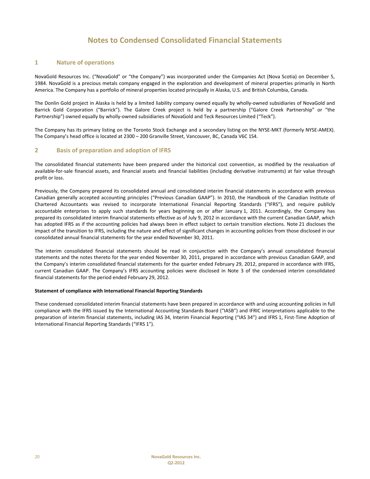## **1 Nature of operations**

NovaGold Resources Inc. ("NovaGold" or "the Company") was incorporated under the Companies Act (Nova Scotia) on December 5, 1984. NovaGold is a precious metals company engaged in the exploration and development of mineral properties primarily in North America. The Company has a portfolio of mineral properties located principally in Alaska, U.S. and British Columbia, Canada.

The Donlin Gold project in Alaska is held by a limited liability company owned equally by wholly-owned subsidiaries of NovaGold and Barrick Gold Corporation ("Barrick"). The Galore Creek project is held by a partnership ("Galore Creek Partnership" or "the Partnership") owned equally by wholly-owned subsidiaries of NovaGold and Teck Resources Limited ("Teck").

The Company has its primary listing on the Toronto Stock Exchange and a secondary listing on the NYSE-MKT (formerly NYSE-AMEX). The Company's head office is located at 2300 – 200 Granville Street, Vancouver, BC, Canada V6C 1S4.

## **2 Basis of preparation and adoption of IFRS**

The consolidated financial statements have been prepared under the historical cost convention, as modified by the revaluation of available-for-sale financial assets, and financial assets and financial liabilities (including derivative instruments) at fair value through profit or loss.

Previously, the Company prepared its consolidated annual and consolidated interim financial statements in accordance with previous Canadian generally accepted accounting principles ("Previous Canadian GAAP"). In 2010, the Handbook of the Canadian Institute of Chartered Accountants was revised to incorporate International Financial Reporting Standards ("IFRS"), and require publicly accountable enterprises to apply such standards for years beginning on or after January 1, 2011. Accordingly, the Company has prepared its consolidated interim financial statements effective as of July 9, 2012 in accordance with the current Canadian GAAP, which has adopted IFRS as if the accounting policies had always been in effect subject to certain transition elections. Note 21 discloses the impact of the transition to IFRS, including the nature and effect of significant changes in accounting policies from those disclosed in our consolidated annual financial statements for the year ended November 30, 2011.

The interim consolidated financial statements should be read in conjunction with the Company's annual consolidated financial statements and the notes thereto for the year ended November 30, 2011, prepared in accordance with previous Canadian GAAP, and the Company's interim consolidated financial statements for the quarter ended February 29, 2012, prepared in accordance with IFRS, current Canadian GAAP. The Company's IFRS accounting policies were disclosed in Note 3 of the condensed interim consolidated financial statements for the period ended February 29, 2012.

#### **Statement of compliance with International Financial Reporting Standards**

These condensed consolidated interim financial statements have been prepared in accordance with and using accounting policies in full compliance with the IFRS issued by the International Accounting Standards Board ("IASB") and IFRIC interpretations applicable to the preparation of interim financial statements, including IAS 34, Interim Financial Reporting ("IAS 34") and IFRS 1, First-Time Adoption of International Financial Reporting Standards ("IFRS 1").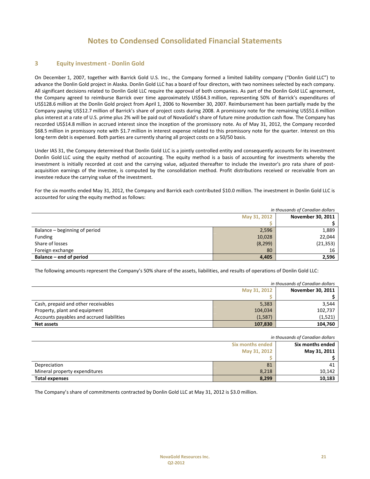## **3 Equity investment - Donlin Gold**

On December 1, 2007, together with Barrick Gold U.S. Inc., the Company formed a limited liability company ("Donlin Gold LLC") to advance the Donlin Gold project in Alaska. Donlin Gold LLC has a board of four directors, with two nominees selected by each company. All significant decisions related to Donlin Gold LLC require the approval of both companies. As part of the Donlin Gold LLC agreement, the Company agreed to reimburse Barrick over time approximately US\$64.3 million, representing 50% of Barrick's expenditures of US\$128.6 million at the Donlin Gold project from April 1, 2006 to November 30, 2007. Reimbursement has been partially made by the Company paying US\$12.7 million of Barrick's share of project costs during 2008. A promissory note for the remaining US\$51.6 million plus interest at a rate of U.S. prime plus 2% will be paid out of NovaGold's share of future mine production cash flow. The Company has recorded US\$14.8 million in accrued interest since the inception of the promissory note. As of May 31, 2012, the Company recorded \$68.5 million in promissory note with \$1.7 million in interest expense related to this promissory note for the quarter. Interest on this long-term debt is expensed. Both parties are currently sharing all project costs on a 50/50 basis.

Under IAS 31, the Company determined that Donlin Gold LLC is a jointly controlled entity and consequently accounts for its investment Donlin Gold LLC using the equity method of accounting. The equity method is a basis of accounting for investments whereby the investment is initially recorded at cost and the carrying value, adjusted thereafter to include the investor's pro rata share of postacquisition earnings of the investee, is computed by the consolidation method. Profit distributions received or receivable from an investee reduce the carrying value of the investment.

For the six months ended May 31, 2012, the Company and Barrick each contributed \$10.0 million. The investment in Donlin Gold LLC is accounted for using the equity method as follows:

|                               | in thousands of Canadian dollars |                          |  |
|-------------------------------|----------------------------------|--------------------------|--|
|                               | May 31, 2012                     | <b>November 30, 2011</b> |  |
|                               |                                  |                          |  |
| Balance – beginning of period | 2,596                            | 1,889                    |  |
| Funding                       | 10,028                           | 22,044                   |  |
| Share of losses               | (8, 299)                         | (21, 353)                |  |
| Foreign exchange              | 80                               | 16                       |  |
| Balance – end of period       | 4,405                            | 2,596                    |  |

The following amounts represent the Company's 50% share of the assets, liabilities, and results of operations of Donlin Gold LLC:

|                                           | in thousands of Canadian dollars |                          |  |
|-------------------------------------------|----------------------------------|--------------------------|--|
| May 31, 2012                              |                                  | <b>November 30, 2011</b> |  |
|                                           |                                  |                          |  |
| Cash, prepaid and other receivables       | 5,383                            | 3.544                    |  |
| Property, plant and equipment             | 104,034                          | 102,737                  |  |
| Accounts payables and accrued liabilities | (1,587)                          | (1,521)                  |  |
| Net assets                                | 107,830                          | 104,760                  |  |

*in thousands of Canadian dollars* **Six months ended May 31, 2012 \$ Six months ended May 31, 2011 \$** Depreciation  $81$   $81$ Mineral property expenditures and the set of the set of the set of the set of the set of the set of the set of the set of the set of the set of the set of the set of the set of the set of the set of the set of the set of t **Total expenses 8,299 10,183** 

The Company's share of commitments contracted by Donlin Gold LLC at May 31, 2012 is \$3.0 million.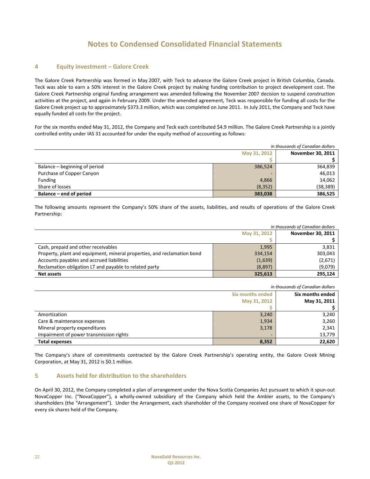## **4 Equity investment – Galore Creek**

The Galore Creek Partnership was formed in May 2007, with Teck to advance the Galore Creek project in British Columbia, Canada. Teck was able to earn a 50% interest in the Galore Creek project by making funding contribution to project development cost. The Galore Creek Partnership original funding arrangement was amended following the November 2007 decision to suspend construction activities at the project, and again in February 2009. Under the amended agreement, Teck was responsible for funding all costs for the Galore Creek project up to approximately \$373.3 million, which was completed on June 2011. In July 2011, the Company and Teck have equally funded all costs for the project.

For the six months ended May 31, 2012, the Company and Teck each contributed \$4.9 million. The Galore Creek Partnership is a jointly controlled entity under IAS 31 accounted for under the equity method of accounting as follows:

|                               | in thousands of Canadian dollars  |           |  |  |
|-------------------------------|-----------------------------------|-----------|--|--|
|                               | November 30, 2011<br>May 31, 2012 |           |  |  |
|                               |                                   |           |  |  |
| Balance – beginning of period | 386,524                           | 364,839   |  |  |
| Purchase of Copper Canyon     | -                                 | 46,013    |  |  |
| <b>Funding</b>                | 4,866                             | 14,062    |  |  |
| Share of losses               | (8, 352)                          | (38, 389) |  |  |
| Balance – end of period       | 383,038                           | 386,525   |  |  |

The following amounts represent the Company's 50% share of the assets, liabilities, and results of operations of the Galore Creek Partnership:

| in thousands of Canadian dollars                                        |              |                          |  |
|-------------------------------------------------------------------------|--------------|--------------------------|--|
|                                                                         | May 31, 2012 | <b>November 30, 2011</b> |  |
|                                                                         |              |                          |  |
| Cash, prepaid and other receivables                                     | 1,995        | 3,831                    |  |
| Property, plant and equipment, mineral properties, and reclamation bond | 334,154      | 303,043                  |  |
| Accounts payables and accrued liabilities                               | (1,639)      | (2,671)                  |  |
| Reclamation obligation LT and payable to related party                  | (8,897)      | (9,079)                  |  |
| <b>Net assets</b>                                                       | 325,613      | 295.124                  |  |

| in thousands of Canadian dollars        |                         |        |  |  |
|-----------------------------------------|-------------------------|--------|--|--|
|                                         | <b>Six months ended</b> |        |  |  |
|                                         | May 31, 2012            |        |  |  |
|                                         |                         |        |  |  |
| Amortization                            | 3,240                   | 3,240  |  |  |
| Care & maintenance expenses             | 1,934                   | 3,260  |  |  |
| Mineral property expenditures           | 3,178                   | 2,341  |  |  |
| Impairment of power transmission rights |                         | 13,779 |  |  |
| <b>Total expenses</b>                   | 8,352                   | 22,620 |  |  |

The Company's share of commitments contracted by the Galore Creek Partnership's operating entity, the Galore Creek Mining Corporation, at May 31, 2012 is \$0.1 million.

## **5 Assets held for distribution to the shareholders**

On April 30, 2012, the Company completed a plan of arrangement under the Nova Scotia Companies Act pursuant to which it spun-out NovaCopper Inc. ("NovaCopper"), a wholly-owned subsidiary of the Company which held the Ambler assets, to the Company's shareholders (the "Arrangement"). Under the Arrangement, each shareholder of the Company received one share of NovaCopper for every six shares held of the Company.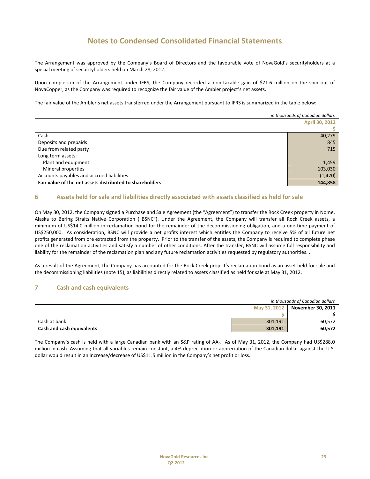The Arrangement was approved by the Company's Board of Directors and the favourable vote of NovaGold's securityholders at a special meeting of securityholders held on March 28, 2012.

Upon completion of the Arrangement under IFRS, the Company recorded a non-taxable gain of \$71.6 million on the spin out of NovaCopper, as the Company was required to recognize the fair value of the Ambler project's net assets.

The fair value of the Ambler's net assets transferred under the Arrangement pursuant to IFRS is summarized in the table below:

|                                                          | in thousands of Canadian dollars |
|----------------------------------------------------------|----------------------------------|
|                                                          | <b>April 30, 2012</b>            |
|                                                          |                                  |
| Cash                                                     | 40,279                           |
| Deposits and prepaids                                    | 845                              |
| Due from related party                                   | 715                              |
| Long term assets:                                        |                                  |
| Plant and equipment                                      | 1,459                            |
| Mineral properties                                       | 103,030                          |
| Accounts payables and accrued liabilities                | (1, 470)                         |
| Fair value of the net assets distributed to shareholders | 144,858                          |

## **6 Assets held for sale and liabilities directly associated with assets classified as held for sale**

On May 30, 2012, the Company signed a Purchase and Sale Agreement (the "Agreement") to transfer the Rock Creek property in Nome, Alaska to Bering Straits Native Corporation ("BSNC"). Under the Agreement, the Company will transfer all Rock Creek assets, a minimum of US\$14.0 million in reclamation bond for the remainder of the decommissioning obligation, and a one-time payment of US\$250,000. As consideration, BSNC will provide a net profits interest which entitles the Company to receive 5% of all future net profits generated from ore extracted from the property. Prior to the transfer of the assets, the Company is required to complete phase one of the reclamation activities and satisfy a number of other conditions. After the transfer, BSNC will assume full responsibility and liability for the remainder of the reclamation plan and any future reclamation activities requested by regulatory authorities. .

As a result of the Agreement, the Company has accounted for the Rock Creek project's reclamation bond as an asset held for sale and the decommissioning liabilities (note 15), as liabilities directly related to assets classified as held for sale at May 31, 2012.

## **7 Cash and cash equivalents**

|                           | in thousands of Canadian dollars |                   |  |  |
|---------------------------|----------------------------------|-------------------|--|--|
|                           | May 31, 2012                     | November 30, 2011 |  |  |
|                           |                                  |                   |  |  |
| Cash at bank              | 301.191                          | 60.572            |  |  |
| Cash and cash equivalents | 301,191                          | 60,572            |  |  |

The Company's cash is held with a large Canadian bank with an S&P rating of AA-. As of May 31, 2012, the Company had US\$288.0 million in cash. Assuming that all variables remain constant, a 4% depreciation or appreciation of the Canadian dollar against the U.S. dollar would result in an increase/decrease of US\$11.5 million in the Company's net profit or loss.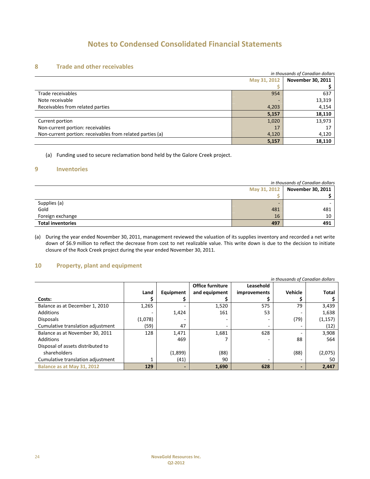## **8 Trade and other receivables**

| in thousands of Canadian dollars                          |              |                          |  |  |  |
|-----------------------------------------------------------|--------------|--------------------------|--|--|--|
|                                                           | May 31, 2012 | <b>November 30, 2011</b> |  |  |  |
|                                                           |              |                          |  |  |  |
| Trade receivables                                         | 954          | 637                      |  |  |  |
| Note receivable                                           |              | 13,319                   |  |  |  |
| Receivables from related parties                          | 4,203        | 4,154                    |  |  |  |
|                                                           | 5,157        | 18,110                   |  |  |  |
| Current portion                                           | 1,020        | 13,973                   |  |  |  |
| Non-current portion: receivables                          | 17           | 17                       |  |  |  |
| Non-current portion: receivables from related parties (a) | 4,120        | 4,120                    |  |  |  |
|                                                           | 5,157        | 18,110                   |  |  |  |

(a) Funding used to secure reclamation bond held by the Galore Creek project.

## **9 Inventories**

| in thousands of Canadian dollars |                   |     |  |  |  |
|----------------------------------|-------------------|-----|--|--|--|
|                                  | November 30, 2011 |     |  |  |  |
|                                  |                   |     |  |  |  |
| Supplies (a)                     | -                 |     |  |  |  |
| Gold                             | 481               | 481 |  |  |  |
| Foreign exchange                 | 16                | 10  |  |  |  |
| <b>Total inventories</b>         | 497               | 491 |  |  |  |

(a) During the year ended November 30, 2011, management reviewed the valuation of its supplies inventory and recorded a net write down of \$6.9 million to reflect the decrease from cost to net realizable value. This write down is due to the decision to initiate closure of the Rock Creek project during the year ended November 30, 2011.

# **10 Property, plant and equipment**

| in thousands of Canadian dollars  |         |           |                         |              |         |          |
|-----------------------------------|---------|-----------|-------------------------|--------------|---------|----------|
|                                   |         |           | <b>Office furniture</b> | Leasehold    |         |          |
|                                   | Land    | Equipment | and equipment           | improvements | Vehicle | Total    |
| Costs:                            |         |           |                         |              |         |          |
| Balance as at December 1, 2010    | 1,265   |           | 1,520                   | 575          | 79      | 3,439    |
| <b>Additions</b>                  |         | 1,424     | 161                     | 53           |         | 1,638    |
| <b>Disposals</b>                  | (1,078) |           |                         |              | (79)    | (1, 157) |
| Cumulative translation adjustment | (59)    | 47        | -                       |              |         | (12)     |
| Balance as at November 30, 2011   | 128     | 1,471     | 1,681                   | 628          |         | 3,908    |
| <b>Additions</b>                  |         | 469       |                         |              | 88      | 564      |
| Disposal of assets distributed to |         |           |                         |              |         |          |
| shareholders                      |         | (1,899)   | (88)                    |              | (88)    | (2,075)  |
| Cumulative translation adjustment |         | (41)      | 90                      |              |         | 50       |
| Balance as at May 31, 2012        | 129     |           | 1,690                   | 628          |         | 2,447    |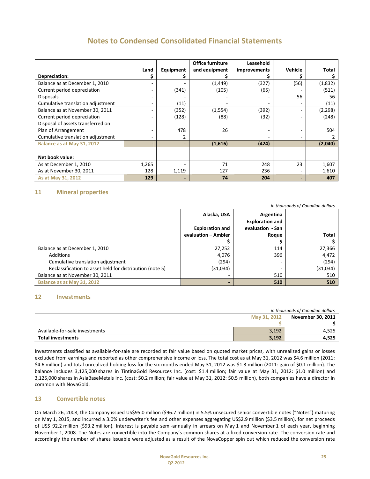|                                   |       |           | <b>Office furniture</b> | Leasehold    |         |              |
|-----------------------------------|-------|-----------|-------------------------|--------------|---------|--------------|
|                                   | Land  | Equipment | and equipment           | improvements | Vehicle | <b>Total</b> |
| Depreciation:                     |       |           |                         |              |         |              |
| Balance as at December 1, 2010    |       |           | (1, 449)                | (327)        | (56)    | (1,832)      |
| Current period depreciation       |       | (341)     | (105)                   | (65)         |         | (511)        |
| <b>Disposals</b>                  |       |           |                         |              | 56      | 56           |
| Cumulative translation adjustment |       | (11)      |                         |              |         | (11)         |
| Balance as at November 30, 2011   |       | (352)     | (1, 554)                | (392)        |         | (2, 298)     |
| Current period depreciation       |       | (128)     | (88)                    | (32)         |         | (248)        |
| Disposal of assets transferred on |       |           |                         |              |         |              |
| Plan of Arrangement               |       | 478       | 26                      |              |         | 504          |
| Cumulative translation adjustment |       |           |                         |              |         |              |
| Balance as at May 31, 2012        |       |           | (1,616)                 | (424)        |         | (2,040)      |
|                                   |       |           |                         |              |         |              |
| Net book value:                   |       |           |                         |              |         |              |
| As at December 1, 2010            | 1,265 |           | 71                      | 248          | 23      | 1,607        |
| As at November 30, 2011           | 128   | 1,119     | 127                     | 236          |         | 1,610        |
| As at May 31, 2012                | 129   |           | 74                      | 204          |         | 407          |

## **11 Mineral properties**

*in thousands of Canadian dollars* 

|                                                          | Alaska, USA            | Argentina              |          |
|----------------------------------------------------------|------------------------|------------------------|----------|
|                                                          |                        | <b>Exploration and</b> |          |
|                                                          | <b>Exploration and</b> | evaluation - San       |          |
|                                                          | evaluation - Ambler    | Roque                  | Total    |
|                                                          |                        |                        |          |
| Balance as at December 1, 2010                           | 27,252                 | 114                    | 27,366   |
| Additions                                                | 4,076                  | 396                    | 4,472    |
| Cumulative translation adjustment                        | (294)                  |                        | (294)    |
| Reclassification to asset held for distribution (note 5) | (31,034)               |                        | (31,034) |
| Balance as at November 30, 2011                          |                        | 510                    | 510      |
| Balance as at May 31, 2012                               |                        | 510                    | 510      |

## **12 Investments**

| in thousands of Canadian dollars |              |                   |
|----------------------------------|--------------|-------------------|
|                                  | May 31, 2012 | November 30, 2011 |
|                                  |              |                   |
| Available-for-sale investments   | 3,192        | 4.525             |
| <b>Total investments</b>         | 3,192        | 4,525             |

Investments classified as available-for-sale are recorded at fair value based on quoted market prices, with unrealized gains or losses excluded from earnings and reported as other comprehensive income or loss. The total cost as at May 31, 2012 was \$4.6 million (2011: \$4.6 million) and total unrealized holding loss for the six months ended May 31, 2012 was \$1.3 million (2011: gain of \$0.1 million). The balance includes 3,125,000 shares in TintinaGold Resources Inc. (cost: \$1.4 million; fair value at May 31, 2012: \$1.0 million) and 3,125,000 shares in AsiaBaseMetals Inc. (cost: \$0.2 million; fair value at May 31, 2012: \$0.5 million), both companies have a director in common with NovaGold.

# **13 Convertible notes**

On March 26, 2008, the Company issued US\$95.0 million (\$96.7 million) in 5.5% unsecured senior convertible notes ("Notes") maturing on May 1, 2015, and incurred a 3.0% underwriter's fee and other expenses aggregating US\$2.9 million (\$3.5 million), for net proceeds of US\$ 92.2 million (\$93.2 million). Interest is payable semi-annually in arrears on May 1 and November 1 of each year, beginning November 1, 2008. The Notes are convertible into the Company's common shares at a fixed conversion rate. The conversion rate and accordingly the number of shares issuable were adjusted as a result of the NovaCopper spin out which reduced the conversion rate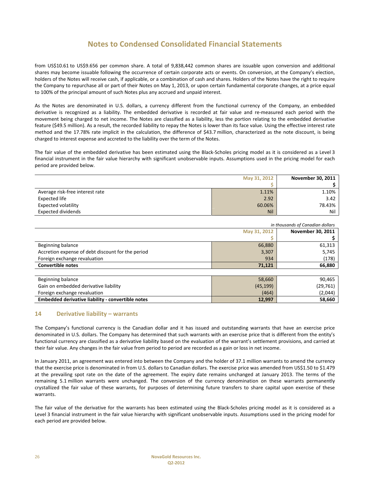from US\$10.61 to US\$9.656 per common share. A total of 9,838,442 common shares are issuable upon conversion and additional shares may become issuable following the occurrence of certain corporate acts or events. On conversion, at the Company's election, holders of the Notes will receive cash, if applicable, or a combination of cash and shares. Holders of the Notes have the right to require the Company to repurchase all or part of their Notes on May 1, 2013, or upon certain fundamental corporate changes, at a price equal to 100% of the principal amount of such Notes plus any accrued and unpaid interest.

As the Notes are denominated in U.S. dollars, a currency different from the functional currency of the Company, an embedded derivative is recognized as a liability. The embedded derivative is recorded at fair value and re-measured each period with the movement being charged to net income. The Notes are classified as a liability, less the portion relating to the embedded derivative feature (\$49.5 million). As a result, the recorded liability to repay the Notes is lower than its face value. Using the effective interest rate method and the 17.78% rate implicit in the calculation, the difference of \$43.7 million, characterized as the note discount, is being charged to interest expense and accreted to the liability over the term of the Notes.

The fair value of the embedded derivative has been estimated using the Black-Scholes pricing model as it is considered as a Level 3 financial instrument in the fair value hierarchy with significant unobservable inputs. Assumptions used in the pricing model for each period are provided below.

|                                 | May 31, 2012 | November 30, 2011 |
|---------------------------------|--------------|-------------------|
|                                 |              |                   |
| Average risk-free interest rate | 1.11%        | 1.10%             |
| Expected life                   | 2.92         | 3.42              |
| <b>Expected volatility</b>      | 60.06%       | 78.43%            |
| <b>Expected dividends</b>       | <b>Nil</b>   | Nil               |

| in thousands of Canadian dollars                  |              |                          |
|---------------------------------------------------|--------------|--------------------------|
|                                                   | May 31, 2012 | <b>November 30, 2011</b> |
|                                                   |              |                          |
| Beginning balance                                 | 66,880       | 61,313                   |
| Accretion expense of debt discount for the period | 3,307        | 5,745                    |
| Foreign exchange revaluation                      | 934          | (178)                    |
| <b>Convertible notes</b>                          | 71,121       | 66,880                   |
|                                                   |              |                          |
| Beginning balance                                 | 58,660       | 90,465                   |
| Gain on embedded derivative liability             | (45, 199)    | (29, 761)                |
| Foreign exchange revaluation                      | (464)        | (2,044)                  |
| Embedded derivative liability - convertible notes | 12,997       | 58,660                   |

## **14 Derivative liability – warrants**

The Company's functional currency is the Canadian dollar and it has issued and outstanding warrants that have an exercise price denominated in U.S. dollars. The Company has determined that such warrants with an exercise price that is different from the entity's functional currency are classified as a derivative liability based on the evaluation of the warrant's settlement provisions, and carried at their fair value. Any changes in the fair value from period to period are recorded as a gain or loss in net income.

In January 2011, an agreement was entered into between the Company and the holder of 37.1 million warrants to amend the currency that the exercise price is denominated in from U.S. dollars to Canadian dollars. The exercise price was amended from US\$1.50 to \$1.479 at the prevailing spot rate on the date of the agreement. The expiry date remains unchanged at January 2013. The terms of the remaining 5.1 million warrants were unchanged. The conversion of the currency denomination on these warrants permanently crystallized the fair value of these warrants, for purposes of determining future transfers to share capital upon exercise of these warrants.

The fair value of the derivative for the warrants has been estimated using the Black-Scholes pricing model as it is considered as a Level 3 financial instrument in the fair value hierarchy with significant unobservable inputs. Assumptions used in the pricing model for each period are provided below.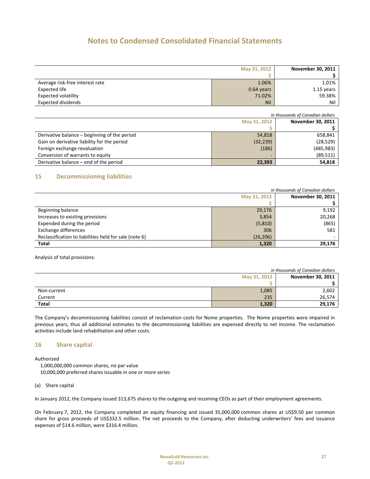|                                 | May 31, 2012 | November 30, 2011 |
|---------------------------------|--------------|-------------------|
|                                 |              |                   |
| Average risk-free interest rate | 1.06%        | 1.01%             |
| Expected life                   | $0.64$ years | 1.15 years        |
| <b>Expected volatility</b>      | 71.02%       | 59.38%            |
| <b>Expected dividends</b>       | <b>Nil</b>   | Nil               |

| in thousands of Canadian dollars             |              |                          |
|----------------------------------------------|--------------|--------------------------|
|                                              | May 31, 2012 | <b>November 30, 2011</b> |
|                                              |              |                          |
| Derivative balance – beginning of the period | 54,818       | 658,841                  |
| Gain on derivative liability for the period  | (32, 239)    | (28, 529)                |
| Foreign exchange revaluation                 | (186)        | (485, 983)               |
| Conversion of warrants to equity             | -            | (89, 511)                |
| Derivative balance – end of the period       | 22,393       | 54.818                   |

## **15 Decommissioning liabilities**

| in thousands of Canadian dollars                       |              |                          |
|--------------------------------------------------------|--------------|--------------------------|
|                                                        | May 31, 2012 | <b>November 30, 2011</b> |
|                                                        |              |                          |
| Beginning balance                                      | 29,176       | 9,192                    |
| Increases to existing provisions                       | 3,854        | 20,268                   |
| Expended during the period                             | (5, 810)     | (865)                    |
| Exchange differences                                   | 306          | 581                      |
| Reclassification to liabilities held for sale (note 6) | (26, 206)    |                          |
| Total                                                  | 1,320        | 29,176                   |

Analysis of total provisions:

| in thousands of Canadian dollars |       |                          |
|----------------------------------|-------|--------------------------|
| May 31, 2012                     |       | <b>November 30, 2011</b> |
|                                  |       |                          |
| Non-current                      | 1,085 | 2,602                    |
| Current                          | 235   | 26,574                   |
| <b>Total</b>                     | 1,320 | 29,176                   |

The Company's decommissioning liabilities consist of reclamation costs for Nome properties. The Nome properties were impaired in previous years, thus all additional estimates to the decommissioning liabilities are expensed directly to net income. The reclamation activities include land rehabilitation and other costs.

## **16 Share capital**

Authorized

1,000,000,000 common shares, no par value 10,000,000 preferred shares issuable in one or more series

(a) Share capital

In January 2012, the Company issued 313,675 shares to the outgoing and incoming CEOs as part of their employment agreements.

On February 7, 2012, the Company completed an equity financing and issued 35,000,000 common shares at US\$9.50 per common share for gross proceeds of US\$332.5 million. The net proceeds to the Company, after deducting underwriters' fees and issuance expenses of \$14.6 million, were \$316.4 million.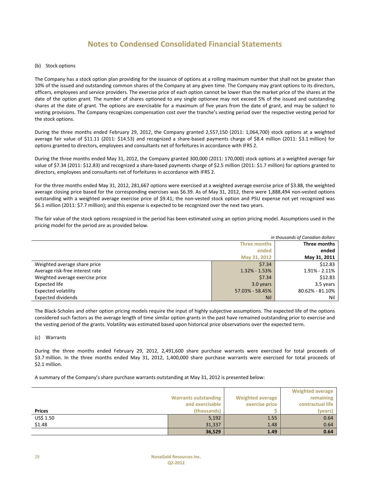#### (b) Stock options

The Company has a stock option plan providing for the issuance of options at a rolling maximum number that shall not be greater than 10% of the issued and outstanding common shares of the Company at any given time. The Company may grant options to its directors, officers, employees and service providers. The exercise price of each option cannot be lower than the market price of the shares at the date of the option grant. The number of shares optioned to any single optionee may not exceed 5% of the issued and outstanding shares at the date of grant. The options are exercisable for a maximum of five years from the date of grant, and may be subject to vesting provisions. The Company recognizes compensation cost over the tranche's vesting period over the respective vesting period for the stock options.

During the three months ended February 29, 2012, the Company granted 2,557,150 (2011: 1,064,700) stock options at a weighted average fair value of \$11.11 (2011: \$14.53) and recognized a share-based payments charge of \$8.4 million (2011: \$3.1 million) for options granted to directors, employees and consultants net of forfeitures in accordance with IFRS 2.

During the three months ended May 31, 2012, the Company granted 300,000 (2011: 170,000) stock options at a weighted average fair value of \$7.34 (2011: \$12.83) and recognized a share-based payments charge of \$2.5 million (2011: \$1.7 million) for options granted to directors, employees and consultants net of forfeitures in accordance with IFRS 2.

For the three months ended May 31, 2012, 281,667 options were exercised at a weighted average exercise price of \$3.88, the weighted average closing price based for the corresponding exercises was \$6.39. As of May 31, 2012, there were 1,888,494 non-vested options outstanding with a weighted average exercise price of \$9.41; the non-vested stock option and PSU expense not yet recognized was \$6.1 million (2011: \$7.7 million); and this expense is expected to be recognized over the next two years.

The fair value of the stock options recognized in the period has been estimated using an option pricing model. Assumptions used in the pricing model for the period are as provided below.

| in thousands of Canadian dollars |                   |                     |
|----------------------------------|-------------------|---------------------|
| Three months                     |                   | Three months        |
|                                  | ended             | ended               |
|                                  | May 31, 2012      | May 31, 2011        |
| Weighted average share price     | \$7.34            | \$12.83             |
| Average risk-free interest rate  | $1.32\% - 1.53\%$ | $1.91\% - 2.11\%$   |
| Weighted average exercise price  | \$7.34            | \$12.83             |
| Expected life                    | 3.0 years         | 3.5 years           |
| <b>Expected volatility</b>       | 57.03% - 58.45%   | $80.62\% - 81.10\%$ |
| <b>Expected dividends</b>        | <b>Nil</b>        | Nil                 |

The Black-Scholes and other option pricing models require the input of highly subjective assumptions. The expected life of the options considered such factors as the average length of time similar option grants in the past have remained outstanding prior to exercise and the vesting period of the grants. Volatility was estimated based upon historical price observations over the expected term.

#### (c) Warrants

During the three months ended February 29, 2012, 2,491,600 share purchase warrants were exercised for total proceeds of \$3.7 million. In the three months ended May 31, 2012, 1,400,000 share purchase warrants were exercised for total proceeds of \$2.1 million.

A summary of the Company's share purchase warrants outstanding at May 31, 2012 is presented below:

|               |                             |                         | <b>Weighted average</b> |
|---------------|-----------------------------|-------------------------|-------------------------|
|               | <b>Warrants outstanding</b> | <b>Weighted average</b> | remaining               |
|               | and exercisable             | exercise price          | contractual life        |
| <b>Prices</b> | (thousands)                 |                         | (years)                 |
| US\$ 1.50     | 5,192                       | 1.55                    | 0.64                    |
| \$1.48        | 31,337                      | 1.48                    | 0.64                    |
|               | 36,529                      | 1.49                    | 0.64                    |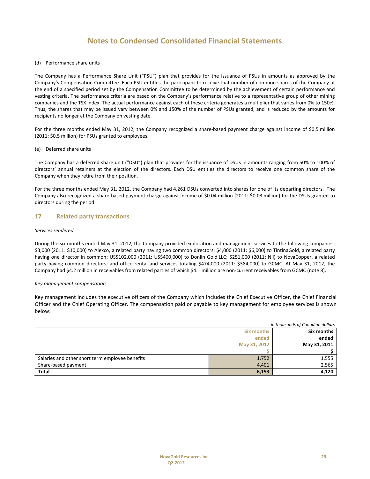(d) Performance share units

The Company has a Performance Share Unit ("PSU") plan that provides for the issuance of PSUs in amounts as approved by the Company's Compensation Committee. Each PSU entitles the participant to receive that number of common shares of the Company at the end of a specified period set by the Compensation Committee to be determined by the achievement of certain performance and vesting criteria. The performance criteria are based on the Company's performance relative to a representative group of other mining companies and the TSX index. The actual performance against each of these criteria generates a multiplier that varies from 0% to 150%. Thus, the shares that may be issued vary between 0% and 150% of the number of PSUs granted, and is reduced by the amounts for recipients no longer at the Company on vesting date.

For the three months ended May 31, 2012, the Company recognized a share-based payment charge against income of \$0.5 million (2011: \$0.5 million) for PSUs granted to employees.

#### (e) Deferred share units

The Company has a deferred share unit ("DSU") plan that provides for the issuance of DSUs in amounts ranging from 50% to 100% of directors' annual retainers at the election of the directors. Each DSU entitles the directors to receive one common share of the Company when they retire from their position.

For the three months ended May 31, 2012, the Company had 4,261 DSUs converted into shares for one of its departing directors. The Company also recognized a share-based payment charge against income of \$0.04 million (2011: \$0.03 million) for the DSUs granted to directors during the period.

## **17 Related party transactions**

#### *Services rendered*

During the six months ended May 31, 2012, the Company provided exploration and management services to the following companies: \$3,000 (2011: \$10,000) to Alexco, a related party having two common directors; \$4,000 (2011: \$6,000) to TintinaGold, a related party having one director in common; US\$102,000 (2011: US\$400,000) to Donlin Gold LLC; \$251,000 (2011: Nil) to NovaCopper, a related party having common directors; and office rental and services totaling \$474,000 (2011: \$384,000) to GCMC. At May 31, 2012, the Company had \$4.2 million in receivables from related parties of which \$4.1 million are non-current receivables from GCMC (note 8).

#### *Key management compensation*

Key management includes the executive officers of the Company which includes the Chief Executive Officer, the Chief Financial Officer and the Chief Operating Officer. The compensation paid or payable to key management for employee services is shown below:

|                                                 |                   | in thousands of Canadian dollars |
|-------------------------------------------------|-------------------|----------------------------------|
|                                                 | <b>Six months</b> | Six months                       |
|                                                 | ended             | ended                            |
|                                                 | May 31, 2012      | May 31, 2011                     |
|                                                 |                   |                                  |
| Salaries and other short term employee benefits | 1,752             | 1,555                            |
| Share-based payment                             | 4,401             | 2,565                            |
| <b>Total</b>                                    | 6,153             | 4,120                            |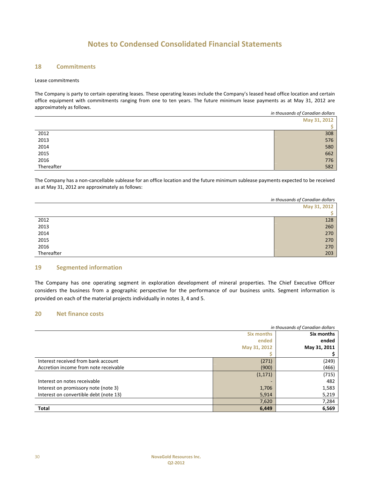# **18 Commitments**

#### Lease commitments

The Company is party to certain operating leases. These operating leases include the Company's leased head office location and certain office equipment with commitments ranging from one to ten years. The future minimum lease payments as at May 31, 2012 are approximately as follows. *in thousands of Canadian dollars*

|            | <i><u><b>III thousurius of Curiditial dollars</b></u></i> |
|------------|-----------------------------------------------------------|
|            | May 31, 2012                                              |
|            | S.                                                        |
| 2012       | 308                                                       |
| 2013       | 576                                                       |
| 2014       | 580                                                       |
| 2015       | 662                                                       |
| 2016       | 776                                                       |
| Thereafter | 582                                                       |
|            |                                                           |

The Company has a non-cancellable sublease for an office location and the future minimum sublease payments expected to be received as at May 31, 2012 are approximately as follows:

|            | in thousands of Canadian dollars |
|------------|----------------------------------|
|            | May 31, 2012                     |
|            |                                  |
| 2012       | 128                              |
| 2013       | 260                              |
| 2014       | 270                              |
| 2015       | 270                              |
| 2016       | 270                              |
| Thereafter | 203                              |

## **19 Segmented information**

The Company has one operating segment in exploration development of mineral properties. The Chief Executive Officer considers the business from a geographic perspective for the performance of our business units. Segment information is provided on each of the material projects individually in notes 3, 4 and 5.

## **20 Net finance costs**

| in thousands of Canadian dollars       |              |       |  |  |
|----------------------------------------|--------------|-------|--|--|
|                                        | Six months   |       |  |  |
|                                        | ended        |       |  |  |
|                                        | May 31, 2011 |       |  |  |
|                                        |              |       |  |  |
| Interest received from bank account    | (271)        | (249) |  |  |
| Accretion income from note receivable  | (900)        | (466) |  |  |
|                                        | (1, 171)     | (715) |  |  |
| Interest on notes receivable           |              | 482   |  |  |
| Interest on promissory note (note 3)   | 1,706        | 1,583 |  |  |
| Interest on convertible debt (note 13) | 5,914        | 5,219 |  |  |
|                                        | 7,620        | 7,284 |  |  |
| <b>Total</b>                           | 6,449        | 6,569 |  |  |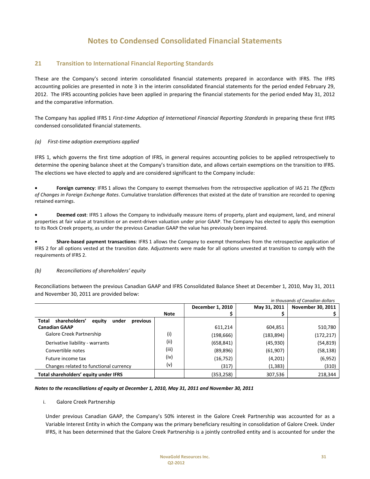# **21 Transition to International Financial Reporting Standards**

These are the Company's second interim consolidated financial statements prepared in accordance with IFRS. The IFRS accounting policies are presented in note 3 in the interim consolidated financial statements for the period ended February 29, 2012. The IFRS accounting policies have been applied in preparing the financial statements for the period ended May 31, 2012 and the comparative information.

The Company has applied IFRS 1 *First-time Adoption of International Financial Reporting Standards* in preparing these first IFRS condensed consolidated financial statements.

## *(a) First-time adoption exemptions applied*

IFRS 1, which governs the first time adoption of IFRS, in general requires accounting policies to be applied retrospectively to determine the opening balance sheet at the Company's transition date, and allows certain exemptions on the transition to IFRS. The elections we have elected to apply and are considered significant to the Company include:

• **Foreign currency**: IFRS 1 allows the Company to exempt themselves from the retrospective application of IAS 21 *The Effects of Changes in Foreign Exchange Rates*. Cumulative translation differences that existed at the date of transition are recorded to opening retained earnings.

• **Deemed cost**: IFRS 1 allows the Company to individually measure items of property, plant and equipment, land, and mineral properties at fair value at transition or an event-driven valuation under prior GAAP. The Company has elected to apply this exemption to its Rock Creek property, as under the previous Canadian GAAP the value has previously been impaired.

• **Share-based payment transactions**: IFRS 1 allows the Company to exempt themselves from the retrospective application of IFRS 2 for all options vested at the transition date. Adjustments were made for all options unvested at transition to comply with the requirements of IFRS 2.

## *(b) Reconciliations of shareholders' equity*

Reconciliations between the previous Canadian GAAP and IFRS Consolidated Balance Sheet at December 1, 2010, May 31, 2011 and November 30, 2011 are provided below: *in thousands of Canadian dollars*

|                                                       |             | in thousands of Canadian dollars |              |                          |  |  |
|-------------------------------------------------------|-------------|----------------------------------|--------------|--------------------------|--|--|
|                                                       |             | December 1, 2010                 | May 31, 2011 | <b>November 30, 2011</b> |  |  |
|                                                       | <b>Note</b> |                                  |              |                          |  |  |
| shareholders'<br>Total<br>previous<br>equity<br>under |             |                                  |              |                          |  |  |
| <b>Canadian GAAP</b>                                  |             | 611,214                          | 604,851      | 510,780                  |  |  |
| Galore Creek Partnership                              | (i)         | (198, 666)                       | (183,894)    | (172, 217)               |  |  |
| Derivative liability - warrants                       | (i)         | (658, 841)                       | (45, 930)    | (54, 819)                |  |  |
| Convertible notes                                     | (iii)       | (89, 896)                        | (61, 907)    | (58, 138)                |  |  |
| Future income tax                                     | (iv)        | (16, 752)                        | (4,201)      | (6, 952)                 |  |  |
| Changes related to functional currency                | (v)         | (317)                            | (1, 383)     | (310)                    |  |  |
| Total shareholders' equity under IFRS                 |             | (353,258)                        | 307,536      | 218,344                  |  |  |

## *Notes to the reconciliations of equity at December 1, 2010, May 31, 2011 and November 30, 2011*

## i. Galore Creek Partnership

Under previous Canadian GAAP, the Company's 50% interest in the Galore Creek Partnership was accounted for as a Variable Interest Entity in which the Company was the primary beneficiary resulting in consolidation of Galore Creek. Under IFRS, it has been determined that the Galore Creek Partnership is a jointly controlled entity and is accounted for under the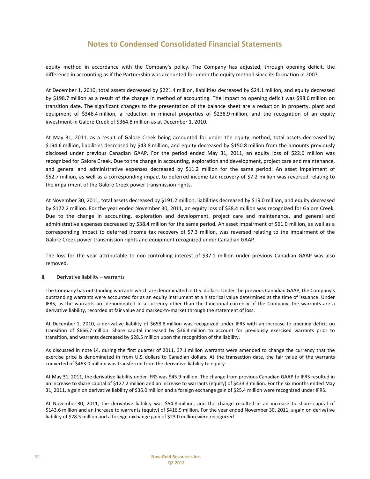equity method in accordance with the Company's policy. The Company has adjusted, through opening deficit, the difference in accounting as if the Partnership was accounted for under the equity method since its formation in 2007.

At December 1, 2010, total assets decreased by \$221.4 million, liabilities decreased by \$24.1 million, and equity decreased by \$198.7 million as a result of the change in method of accounting. The impact to opening deficit was \$98.6 million on transition date. The significant changes to the presentation of the balance sheet are a reduction in property, plant and equipment of \$346.4 million, a reduction in mineral properties of \$238.9 million, and the recognition of an equity investment in Galore Creek of \$364.8 million as at December 1, 2010.

At May 31, 2011, as a result of Galore Creek being accounted for under the equity method, total assets decreased by \$194.6 million, liabilities decreased by \$43.8 million, and equity decreased by \$150.8 million from the amounts previously disclosed under previous Canadian GAAP. For the period ended May 31, 2011, an equity loss of \$22.6 million was recognized for Galore Creek. Due to the change in accounting, exploration and development, project care and maintenance, and general and administrative expenses decreased by \$11.2 million for the same period. An asset impairment of \$52.7 million, as well as a corresponding impact to deferred income tax recovery of \$7.2 million was reversed relating to the impairment of the Galore Creek power transmission rights.

At November 30, 2011, total assets decreased by \$191.2 million, liabilities decreased by \$19.0 million, and equity decreased by \$172.2 million. For the year ended November 30, 2011, an equity loss of \$38.4 million was recognized for Galore Creek. Due to the change in accounting, exploration and development, project care and maintenance, and general and administrative expenses decreased by \$38.4 million for the same period. An asset impairment of \$61.0 million, as well as a corresponding impact to deferred income tax recovery of \$7.3 million, was reversed relating to the impairment of the Galore Creek power transmission rights and equipment recognized under Canadian GAAP.

The loss for the year attributable to non-controlling interest of \$37.1 million under previous Canadian GAAP was also removed.

#### ii. Derivative liability – warrants

The Company has outstanding warrants which are denominated in U.S. dollars. Under the previous Canadian GAAP, the Company's outstanding warrants were accounted for as an equity instrument at a historical value determined at the time of issuance. Under IFRS, as the warrants are denominated in a currency other than the functional currency of the Company, the warrants are a derivative liability, recorded at fair value and marked-to-market through the statement of loss.

At December 1, 2010, a derivative liability of \$658.8 million was recognized under IFRS with an increase to opening deficit on transition of \$666.7 million. Share capital increased by \$36.4 million to account for previously exercised warrants prior to transition, and warrants decreased by \$28.5 million upon the recognition of the liability.

As discussed in note 14, during the first quarter of 2011, 37.1 million warrants were amended to change the currency that the exercise price is denominated in from U.S. dollars to Canadian dollars. At the transaction date, the fair value of the warrants converted of \$463.0 million was transferred from the derivative liability to equity.

At May 31, 2011, the derivative liability under IFRS was \$45.9 million. The change from previous Canadian GAAP to IFRS resulted in an increase to share capital of \$127.2 million and an increase to warrants (equity) of \$433.3 million. For the six months ended May 31, 2011, a gain on derivative liability of \$35.0 million and a foreign exchange gain of \$25.4 million were recognized under IFRS.

At November 30, 2011, the derivative liability was \$54.8 million, and the change resulted in an increase to share capital of \$143.6 million and an increase to warrants (equity) of \$416.9 million. For the year ended November 30, 2011, a gain on derivative liability of \$28.5 million and a foreign exchange gain of \$23.0 million were recognized.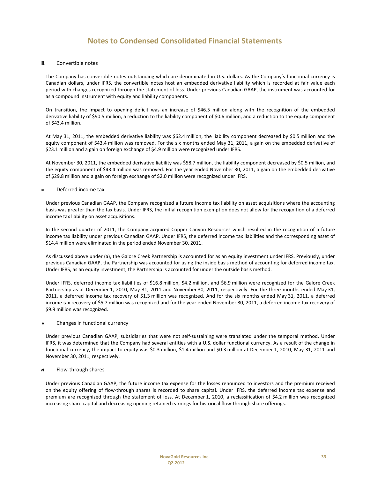#### iii. Convertible notes

The Company has convertible notes outstanding which are denominated in U.S. dollars. As the Company's functional currency is Canadian dollars, under IFRS, the convertible notes host an embedded derivative liability which is recorded at fair value each period with changes recognized through the statement of loss. Under previous Canadian GAAP, the instrument was accounted for as a compound instrument with equity and liability components.

On transition, the impact to opening deficit was an increase of \$46.5 million along with the recognition of the embedded derivative liability of \$90.5 million, a reduction to the liability component of \$0.6 million, and a reduction to the equity component of \$43.4 million.

At May 31, 2011, the embedded derivative liability was \$62.4 million, the liability component decreased by \$0.5 million and the equity component of \$43.4 million was removed. For the six months ended May 31, 2011, a gain on the embedded derivative of \$23.1 million and a gain on foreign exchange of \$4.9 million were recognized under IFRS.

At November 30, 2011, the embedded derivative liability was \$58.7 million, the liability component decreased by \$0.5 million, and the equity component of \$43.4 million was removed. For the year ended November 30, 2011, a gain on the embedded derivative of \$29.8 million and a gain on foreign exchange of \$2.0 million were recognized under IFRS.

#### iv. Deferred income tax

Under previous Canadian GAAP, the Company recognized a future income tax liability on asset acquisitions where the accounting basis was greater than the tax basis. Under IFRS, the initial recognition exemption does not allow for the recognition of a deferred income tax liability on asset acquisitions.

In the second quarter of 2011, the Company acquired Copper Canyon Resources which resulted in the recognition of a future income tax liability under previous Canadian GAAP. Under IFRS, the deferred income tax liabilities and the corresponding asset of \$14.4 million were eliminated in the period ended November 30, 2011.

As discussed above under (a), the Galore Creek Partnership is accounted for as an equity investment under IFRS. Previously, under previous Canadian GAAP, the Partnership was accounted for using the inside basis method of accounting for deferred income tax. Under IFRS, as an equity investment, the Partnership is accounted for under the outside basis method.

Under IFRS, deferred income tax liabilities of \$16.8 million, \$4.2 million, and \$6.9 million were recognized for the Galore Creek Partnership as at December 1, 2010, May 31, 2011 and November 30, 2011, respectively. For the three months ended May 31, 2011, a deferred income tax recovery of \$1.3 million was recognized. And for the six months ended May 31, 2011, a deferred income tax recovery of \$5.7 million was recognized and for the year ended November 30, 2011, a deferred income tax recovery of \$9.9 million was recognized.

#### v. Changes in functional currency

Under previous Canadian GAAP, subsidiaries that were not self-sustaining were translated under the temporal method. Under IFRS, it was determined that the Company had several entities with a U.S. dollar functional currency. As a result of the change in functional currency, the impact to equity was \$0.3 million, \$1.4 million and \$0.3 million at December 1, 2010, May 31, 2011 and November 30, 2011, respectively.

#### vi. Flow-through shares

Under previous Canadian GAAP, the future income tax expense for the losses renounced to investors and the premium received on the equity offering of flow-through shares is recorded to share capital. Under IFRS, the deferred income tax expense and premium are recognized through the statement of loss. At December 1, 2010, a reclassification of \$4.2 million was recognized increasing share capital and decreasing opening retained earnings for historical flow-through share offerings.